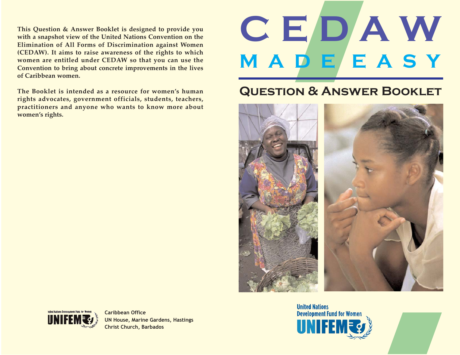**This Question & Answer Booklet is designed to provide you with a snapshot view of the United Nations Convention on the Elimination of All Forms of Discrimination against Women (CEDAW). It aims to raise awareness of the rights to which women are entitled under CEDAW so that you can use the Convention to bring about concrete improvements in the lives of Caribbean women.** 

**The Booklet is intended as a resource for women's human rights advocates, government officials, students, teachers, practitioners and anyone who wants to know more about women's rights.** 

# **C E D A W M A D E E A S Y**

# **Question & Answer Booklet**





**Caribbean Office UN House, Marine Gardens, Hastings Christ Church, Barbados**



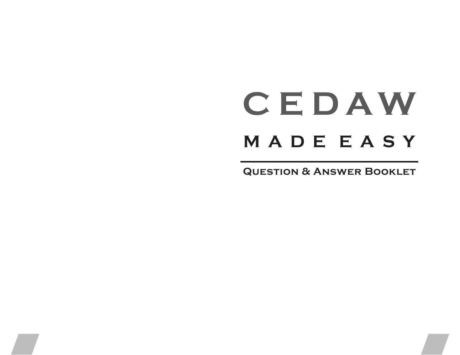# **CEDAW M A D E E A S Y**

**Question & Answer Booklet**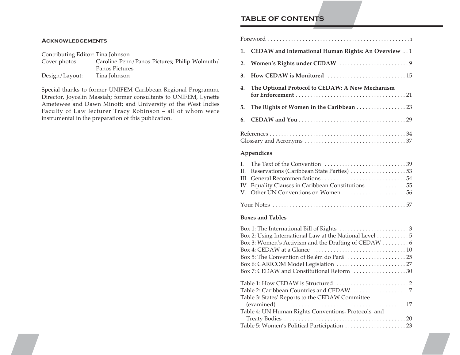#### **table of contents**

#### **Acknowledgements**

Contributing Editor: Tina Johnson Caroline Penn/Panos Pictures; Philip Wolmuth/ Panos Pictures Design/Layout:

Special thanks to former UNIFEM Caribbean Regional Programme Director, Joycelin Massiah; former consultants to UNIFEM, Lynette Ametewee and Dawn Minott; and University of the West Indies Faculty of Law lecturer Tracy Robinson – all of whom were instrumental in the preparation of this publication.

|  | 1. CEDAW and International Human Rights: An Overview 1 |  |  |
|--|--------------------------------------------------------|--|--|
|  |                                                        |  |  |
|  | 3. How CEDAW is Monitored  15                          |  |  |
|  | 4. The Optional Protocol to CEDAW: A New Mechanism     |  |  |
|  |                                                        |  |  |
|  |                                                        |  |  |
|  |                                                        |  |  |

#### **Appendices**

| IV. Equality Clauses in Caribbean Constitutions 55 |  |
|----------------------------------------------------|--|
|                                                    |  |
|                                                    |  |
|                                                    |  |

#### **Boxes and Tables**

| Box 2: Using International Law at the National Level  5 |
|---------------------------------------------------------|
| Box 3: Women's Activism and the Drafting of CEDAW  6    |
|                                                         |
|                                                         |
| Box 6: CARICOM Model Legislation  27                    |
| Box 7: CEDAW and Constitutional Reform 30               |
| Table 3: States' Reports to the CEDAW Committee         |
| Table 4: UN Human Rights Conventions, Protocols and     |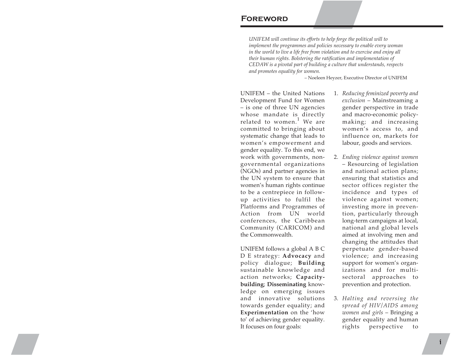#### **Foreword**

*UNIFEM will continue its efforts to help forge the political will to implement the programmes and policies necessary to enable every woman in the world to live a life free from violation and to exercise and enjoy all their human rights. Bolstering the ratification and implementation of CEDAW is a pivotal part of building a culture that understands, respects and promotes equality for women.*

– Noeleen Heyzer, Executive Director of UNIFEM

UNIFEM – the United Nations Development Fund for Women – is one of three UN agencies whose mandate is directly related to women. $<sup>1</sup>$  We are</sup> committed to bringing about systematic change that leads to women's empowerment and gender equality. To this end, we work with governments, nongovernmental organizations (NGOs) and partner agencies in the UN system to ensure that women's human rights continue to be a centrepiece in followup activities to fulfil the Platforms and Programmes of Action from UN world conferences, the Caribbean Community (CARICOM) and the Commonwealth.

UNIFEM follows a global A B C D E strategy: **Advocacy** and policy dialogue; **Building** sustainable knowledge and action networks; **Capacitybuilding**; **Disseminating** knowledge on emerging issues and innovative solutions towards gender equality; and **Experimentation** on the 'how to' of achieving gender equality. It focuses on four goals:

- 1. *Reducing feminized poverty and exclusion* – Mainstreaming a gender perspective in trade and macro-economic policymaking; and increasing women's access to, and influence on, markets for labour, goods and services.
- 2. *Ending violence against women* – Resourcing of legislation and national action plans; ensuring that statistics and sector offices register the incidence and types of violence against women; investing more in prevention, particularly through long-term campaigns at local, national and global levels aimed at involving men and changing the attitudes that perpetuate gender-based violence; and increasing support for women's organizations and for multisectoral approaches to prevention and protection.
- 3. *Halting and reversing the spread of HIV/AIDS among women and girls* – Bringing a gender equality and human rights perspective to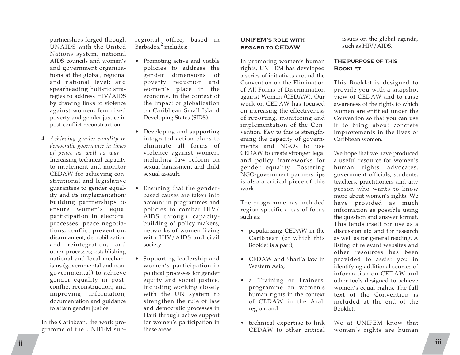partnerships forged through UNAIDS with the United Nations system, national AIDS councils and women's and government organizations at the global, regional and national level; and spearheading holistic strategies to address HIV/AIDS by drawing links to violence against women, feminized poverty and gender justice in post-conflict reconstruction.

4. *Achieving gender equality in democratic governance in times of peace as well as war* – Increasing technical capacity to implement and monitor CEDAW for achieving constitutional and legislative guarantees to gender equality and its implementation; building partnerships to ensure women's equal participation in electoral processes, peace negotiations, conflict prevention, disarmament, demobilization and reintegration, and other processes; establishing national and local mechanisms (governmental and nongovernmental) to achieve gender equality in postconflict reconstruction; and improving information, documentation and guidance to attain gender justice.

In the Caribbean, the work programme of the UNIFEM subregional office, based in Barbados, $\frac{2}{\pi}$  includes:

- Promoting active and visible policies to address the gender dimensions of poverty reduction and women's place in the economy, in the context of the impact of globalization on Caribbean Small Island Developing States (SIDS).
- Developing and supporting integrated action plans to eliminate all forms of violence against women, including law reform on sexual harassment and child sexual assault.
- Ensuring that the genderbased causes are taken into account in programmes and policies to combat HIV/ AIDS through capacitybuilding of policy makers, networks of women living with HIV/AIDS and civil society.
- Supporting leadership and women's participation in political processes for gender equity and social justice, including working closely with the UN system to strengthen the rule of law and democratic processes in Haiti through active support for women's participation in these areas.

#### **UNIFEM's role with regard to CEDAW**

In promoting women's human rights, UNIFEM has developed a series of initiatives around the Convention on the Elimination of All Forms of Discrimination against Women (CEDAW). Our work on CEDAW has focused on increasing the effectiveness of reporting, monitoring and implementation of the Convention. Key to this is strengthening the capacity of governments and NGOs to use CEDAW to create stronger legal and policy frameworks for gender equality. Fostering NGO-government partnerships is also a critical piece of this work.

The programme has included region-specific areas of focus such as:

- popularizing CEDAW in the Caribbean (of which this Booklet is a part);
- CEDAW and Shari'a law in Western Asia;
- a 'Training of Trainers' programme on women's human rights in the context of CEDAW in the Arab region; and
- technical expertise to link CEDAW to other critical

issues on the global agenda, such as HIV/AIDS.

#### **The purpose of this BOOKLET**

This Booklet is designed to provide you with a snapshot view of CEDAW and to raise awareness of the rights to which women are entitled under the Convention so that you can use it to bring about concrete improvements in the lives of Caribbean women.

We hope that we have produced a useful resource for women's human rights advocates, government officials, students, teachers, practitioners and any person who wants to know more about women's rights. We have provided as much information as possible using the question and answer format. This lends itself for use as a discussion aid and for research as well as for general reading. A listing of relevant websites and other resources has been provided to assist you in identifying additional sources of information on CEDAW and other tools designed to achieve women's equal rights. The full text of the Convention is included at the end of the Booklet.

We at UNIFEM know that women's rights are human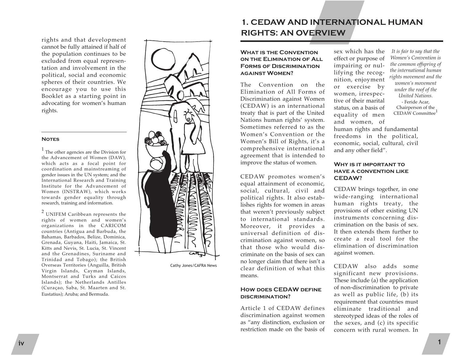rights and that development cannot be fully attained if half of the population continues to be excluded from equal representation and involvement in the political, social and economic spheres of their countries. We encourage you to use this Booklet as a starting point in advocating for women's human rights.

#### **Notes**

1 The other agencies are the Division for the Advancement of Women (DAW), which acts as a focal point for coordination and mainstreaming of gender issues in the UN system; and the International Research and Training Institute for the Advancement of Women (INSTRAW), which works towards gender equality through research, training and information.

2 UNIFEM Caribbean represents the rights of women and women's organizations in the CARICOM countries (Antigua and Barbuda, the Bahamas, Barbados, Belize, Dominica, Grenada, Guyana, Haiti, Jamaica, St. Kitts and Nevis, St. Lucia, St. Vincent and the Grenadines, Suriname and Trinidad and Tobago); the British Overseas Territories (Anguilla, British Virgin Islands, Cayman Islands, Montserrat and Turks and Caicos Islands); the Netherlands Antilles (Curaçao, Saba, St. Maarten and St. Eustatius); Aruba; and Bermuda.



Cathy Jones/CAFRA News

# **1. CEDAW AND INTERNATIONAL HUMAN RIGHTS: AN OVERVIEW**

#### **What is the Convention on the Elimination of All Forms of Discrimination against Women?**

The Convention on the Elimination of All Forms of Discrimination against Women (CEDAW) is an international treaty that is part of the United Nations human rights' system. Sometimes referred to as the Women's Convention or the Women's Bill of Rights, it's a comprehensive international agreement that is intended to improve the status of women.

CEDAW promotes women's equal attainment of economic, social, cultural, civil and political rights. It also establishes rights for women in areas that weren't previously subject to international standards. Moreover, it provides a universal definition of discrimination against women, so that those who would discriminate on the basis of sex can no longer claim that there isn't a clear definition of what this means.

#### **HOW DOES CEDAW DEFINE discrimination?**

Article 1 of CEDAW defines discrimination against women as "any distinction, exclusion or restriction made on the basis of

sex which has the effect or purpose of impairing or nullifying the recognition, enjoyment or exercise by women, irrespective of their marital status, on a basis of equality of men and women, of

*It is fair to say that the Women's Convention is the common offspring of the international human rights movement and the women's movement under the roof of the United Nations.* - Feride Acar, Chairperson of the CEDAW Committee<sup>1</sup>

human rights and fundamental freedoms in the political, economic, social, cultural, civil and any other field".

#### **Why is it important to have a convention like CEDAW?**

CEDAW brings together, in one wide-ranging international human rights treaty, the provisions of other existing UN instruments concerning discrimination on the basis of sex. It then extends them further to create a real tool for the elimination of discrimination against women.

CEDAW also adds some significant new provisions. These include (a) the application of non-discrimination to private as well as public life, (b) its requirement that countries must eliminate traditional and stereotyped ideas of the roles of the sexes, and (c) its specific concern with rural women. In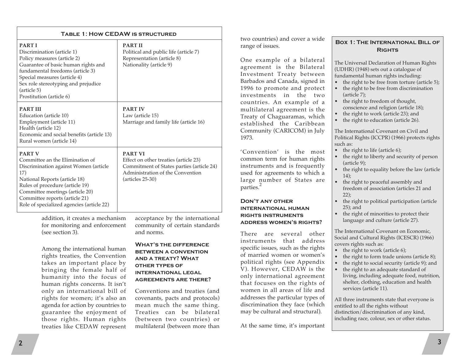#### **Table 1: How CEDAW is structured**

| <b>PARTI</b>                        |
|-------------------------------------|
| Discrimination (article 1)          |
| Policy measures (article 2)         |
| Guarantee of basic human rights and |
| fundamental freedoms (article 3)    |
| Special measures (article 4)        |
| Sex role stereotyping and prejudice |
| (article 5)                         |
| Prostitution (article 6)            |
|                                     |

**PART III** 

Education (article 10) Employment (article 11) Health (article 12) Economic and social benefits (article 13) Rural women (article 14)

#### **PART V**

Committee an the Elimination of Discrimination against Women (article 17) National Reports (article 18) Rules of procedure (article 19) Committee meetings (article 20) Committee reports (article 21) Role of specialized agencies (article 22) **PART II** Political and public life (article 7) Representation (article 8)

Nationality (article 9)

#### **PART IV**  Law (article 15) Marriage and family life (article 16)

**PART VI** 

Effect on other treaties (article 23) Commitment of States parties (article 24) Administration of the Convention (articles 25-30)

addition, it creates a mechanism for monitoring and enforcement (see section 3).

Among the international human rights treaties, the Convention takes an important place by bringing the female half of humanity into the focus of human rights concerns. It isn't only an international bill of rights for women; it's also an agenda for action by countries to guarantee the enjoyment of those rights. Human rights treaties like CEDAW represent acceptance by the international community of certain standards and norms.

#### **What's the difference between a convention and a treaty? What other types of international legal agreements are there?**

Conventions and treaties (and covenants, pacts and protocols) mean much the same thing. Treaties can be bilateral (between two countries) or multilateral (between more than

two countries) and cover a wide range of issues.

One example of a bilateral agreement is the Bilateral Investment Treaty between Barbados and Canada, signed in 1996 to promote and protect investments in the two countries. An example of a multilateral agreement is the Treaty of Chaguaramas, which established the Caribbean Community (CARICOM) in July 1973.

'Convention' is the most common term for human rights instruments and is frequently used for agreements to which a large number of States are parties.<sup>2</sup>

#### **Don't any other international human rights instruments address women's rights?**

There are several other instruments that address specific issues, such as the rights of married women or women's political rights (see Appendix V). However, CEDAW is the only international agreement that focuses on the rights of women in all areas of life and addresses the particular types of discrimination they face (which may be cultural and structural).

At the same time, it's important

## **Box 1: The International Bill of Rights**

The Universal Declaration of Human Rights (UDHR) (1948) sets out a catalogue of fundamental human rights including:

- the right to be free from torture (article 5);
- the right to be free from discrimination (article 7);
- the right to freedom of thought, conscience and religion (article 18);
- the right to work (article 23); and
- the right to education (article 26).

The International Covenant on Civil and Political Rights (ICCPR) (1966) protects rights such as:

- the right to life (article 6);
- the right to liberty and security of person (article 9);
- the right to equality before the law (article 14);
- the right to peaceful assembly and freedom of association (articles 21 and 22);
- the right to political participation (article 25); and
- the right of minorities to protect their language and culture (article 27).

The International Covenant on Economic, Social and Cultural Rights (ICESCR) (1966) covers rights such as:

- the right to work (article 6);
- the right to form trade unions (article 8);
- the right to social security (article 9); and
- the right to an adequate standard of living, including adequate food, nutrition, shelter, clothing, education and health services (article 11).

All three instruments state that everyone is entitled to all the rights without distinction/discrimination of any kind, including race, colour, sex or other status.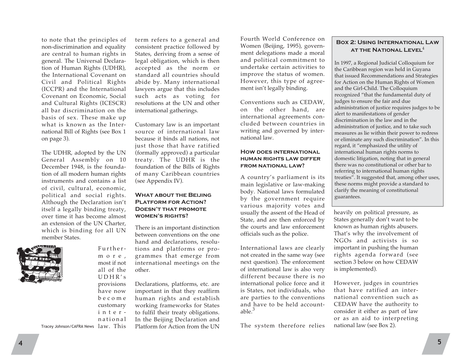to note that the principles of non-discrimination and equality are central to human rights in general. The Universal Declaration of Human Rights (UDHR), the International Covenant on Civil and Political Rights (ICCPR) and the International Covenant on Economic, Social and Cultural Rights (ICESCR) all bar discrimination on the basis of sex. These make up what is known as the International Bill of Rights (see Box 1 on page 3).

The UDHR, adopted by the UN General Assembly on 10 December 1948, is the foundation of all modern human rights instruments and contains a list of civil, cultural, economic, political and social rights. Although the Declaration isn't itself a legally binding treaty, over time it has become almost an extension of the UN Charter, which is binding for all UN member States.



Furthermore, most if not all of the UDHR's provisions have now become customary international Tracey Johnson/CAFRA News  $\,\,$   $\rm{law.} \,\, This$ 

term refers to a general and consistent practice followed by States, deriving from a sense of legal obligation, which is then accepted as the norm or standard all countries should abide by. Many international lawyers argue that this includes such acts as voting for resolutions at the UN and other international gatherings.

Customary law is an important source of international law because it binds all nations, not just those that have ratified (formally approved) a particular treaty. The UDHR is the foundation of the Bills of Rights of many Caribbean countries (see Appendix IV).

#### **What about the Beijing Platform for Action? Doesn't that promote women's rights?**

There is an important distinction between conventions on the one hand and declarations, resolutions and platforms or programmes that emerge from international meetings on the other.

Declarations, platforms, etc. are important in that they reaffirm human rights and establish working frameworks for States to fulfil their treaty obligations. In the Beijing Declaration and Platform for Action from the UN

Fourth World Conference on Women (Beijing, 1995), government delegations made a moral and political commitment to undertake certain activities to improve the status of women. However, this type of agreement isn't legally binding.

Conventions such as CEDAW, on the other hand, are international agreements concluded between countries in writing and governed by international law.

#### **How does international human rights law differ from national law?**

A country's parliament is its main legislative or law-making body. National laws formulated by the government require various majority votes and usually the assent of the Head of State, and are then enforced by the courts and law enforcement officials such as the police.

International laws are clearly not created in the same way (see next question). The enforcement of international law is also very different because there is no international police force and it is States, not individuals, who are parties to the conventions and have to be held accountable. $3$ 

The system therefore relies

### **Box 2: Using International Law at the National Level**<sup>4</sup>

In 1997, a Regional Judicial Colloquium for the Caribbean region was held in Guyana that issued Recommendations and Strategies for Action on the Human Rights of Women and the Girl-Child. The Colloquium recognized "that the fundamental duty of judges to ensure the fair and due administration of justice requires judges to be alert to manifestations of gender discrimination in the law and in the administration of justice, and to take such measures as lie within their power to redress or eliminate any such discrimination". In this regard, it "emphasized the utility of international human rights norms to domestic litigation, noting that in general there was no constitutional or other bar to referring to international human rights treaties". It suggested that, among other uses, these norms might provide a standard to clarify the meaning of constitutional guarantees.

heavily on political pressure, as States generally don't want to be known as human rights abusers. That's why the involvement of NGOs and activists is so important in pushing the human rights agenda forward (see section 3 below on how CEDAW is implemented).

However, judges in countries that have ratified an international convention such as CEDAW have the authority to consider it either as part of law or as an aid to interpreting national law (see Box 2).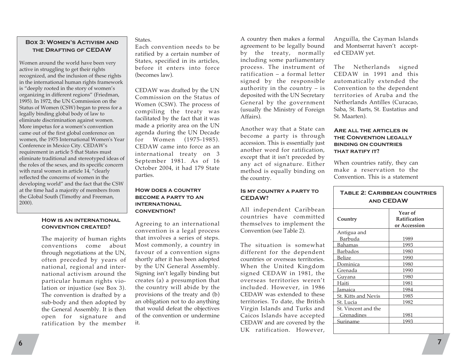#### **Box 3: Women's Activism and the Drafting of CEDAW**

Women around the world have been very active in struggling to get their rights recognized, and the inclusion of these rights in the international human rights framework is "deeply rooted in the story of women's organizing in different regions" (Friedman, 1995). In 1972, the UN Commission on the Status of Women (CSW) began to press for a legally binding global body of law to eliminate discrimination against women. More impetus for a women's convention came out of the first global conference on women, the 1975 International Women's Year Conference in Mexico City. CEDAW's requirement in article 5 that States must eliminate traditional and stereotyped ideas of the roles of the sexes, and its specific concern with rural women in article 14, "clearly reflected the concerns of women in the developing world" and the fact that the CSW at the time had a majority of members from the Global South (Timothy and Freeman, 2000).

#### States.

Each convention needs to be ratified by a certain number of States, specified in its articles, before it enters into force (becomes law).

CEDAW was drafted by the UN Commission on the Status of Women (CSW). The process of compiling the treaty was facilitated by the fact that it was made a priority area on the UN agenda during the UN Decade for Women (1975-1985). CEDAW came into force as an international treaty on 3 September 1981. As of 16 October 2004, it had 179 State parties.

#### **How does a country become a party to an international convention?**

#### **How is an international convention created?**

The majority of human rights conventions come about through negotiations at the UN, often preceded by years of national, regional and international activism around the particular human rights violation or injustice (see Box 3). The convention is drafted by a sub-body and then adopted by the General Assembly. It is then open for signature and ratification by the member Agreeing to an international convention is a legal process that involves a series of steps. Most commonly, a country in favour of a convention signs shortly after it has been adopted by the UN General Assembly. Signing isn't legally binding but creates (a) a presumption that the country will abide by the provisions of the treaty and (b) an obligation not to do anything that would defeat the objectives of the convention or undermine it.

A country then makes a formal agreement to be legally bound by the treaty, normally including some parliamentary process. The instrument of ratification – a formal letter signed by the responsible authority in the country – is deposited with the UN Secretary General by the government (usually the Ministry of Foreign Affairs).

Another way that a State can become a party is through accession. This is essentially just another word for ratification, except that it isn't preceded by any act of signature. Either method is equally binding on the country.

#### **Is my country a party to CEDAW?**

All independent Caribbean countries have committed themselves to implement the Convention (see Table 2).

The situation is somewhat different for the dependent countries or overseas territories. When the United Kingdom signed CEDAW in 1981, the overseas territories weren't included. However, in 1986 CEDAW was extended to these territories. To date, the British Virgin Islands and Turks and Caicos Islands have accepted CEDAW and are covered by the UK ratification. However,

Anguilla, the Cayman Islands and Montserrat haven't accepted CEDAW yet.

The Netherlands signed CEDAW in 1991 and this automatically extended the Convention to the dependent territories of Aruba and the Netherlands Antilles (Curacao, Saba, St. Barts, St. Eustatius and St. Maarten).

#### **Are all the articles in the Convention legally binding on countries THAT RATIFY IT?**

When countries ratify, they can make a reservation to the Convention. This is a statement

| Country             | Year of<br><b>Ratification</b><br>or Accession |
|---------------------|------------------------------------------------|
| Antigua and         |                                                |
| Barbuda             | 1989                                           |
| Bahamas             | 1993                                           |
| Barbados            | 1980                                           |
| Belize              | 1990                                           |
| Dominica            | 1980                                           |
| Grenada             | 1990                                           |
| Guyana              | 1980                                           |
| Haiti               | 1981                                           |
| Iamaica             | 1984                                           |
| St. Kitts and Nevis | 1985                                           |
| St. Lucia           | 1982                                           |
| St. Vincent and the |                                                |
| Grenadines          | 1981                                           |
| Suriname            | 1993                                           |

**Table 2: Caribbean countries**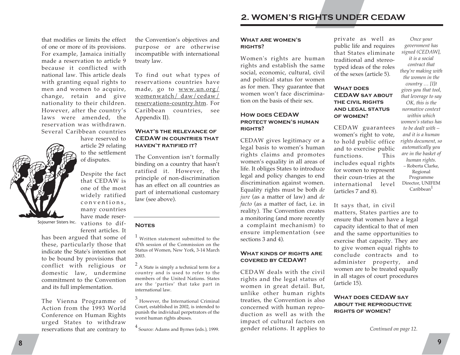# **2. WOMEN'S RIGHTS UNDER CEDAW**

that modifies or limits the effect of one or more of its provisions. For example, Jamaica initially made a reservation to article 9 because it conflicted with national law. This article deals with granting equal rights to men and women to acquire, change, retain and give nationality to their children. However, after the country's laws were amended, the reservation was withdrawn. Several Caribbean countries



article 29 relating to the settlement

Despite the fact that CEDAW is one of the most widely ratified conventions, many countries have made reservations to dif-Sojourner Sisters Inc.

ferent articles. It

has been argued that some of these, particularly those that indicate the State's intention not to be bound by provisions that conflict with religious or domestic law, undermine commitment to the Convention and its full implementation.

The Vienna Programme of Action from the 1993 World Conference on Human Rights urged States to withdraw reservations that are contrary to

the Convention's objectives and purpose or are otherwise incompatible with international treaty law.

To find out what types of reservations countries have made, go to www.un.org/ womenwatch/ daw/cedaw/ reservations-country.htm. For Caribbean countries, see Appendix II).

#### **What's the relevance of CEDAW in countries that haven't ratified it?**

The Convention isn't formally binding on a country that hasn't ratified it. However, the principle of non-discrimination has an effect on all countries as part of international customary law (see above).

#### **Notes**

<sup>1</sup> Written statement submitted to the 47th session of the Commission on the Status of Women, New York, 3-14 March 2003.

 $2A$  State is simply a technical term for a country and is used to refer to the members of the United Nations. States are the 'parties' that take part in international law.

3 However, the International Criminal Court, established in 2002, is intended to punish the individual perpetrators of the worst human rights abuses.

4 Source: Adams and Byrnes (eds.), 1999.

#### **What are women's rights?**

Women's rights are human rights and establish the same social, economic, cultural, civil and political status for women as for men. They guarantee that women won't face discrimination on the basis of their sex.

#### **How does CEDAW protect women's human rights?**

CEDAW gives legitimacy or a legal basis to women's human rights claims and promotes women's equality in all areas of life. It obliges States to introduce legal and policy changes to end discrimination against women. Equality rights must be both *de jure* (as a matter of law) and *de facto* (as a matter of fact, i.e. in reality). The Convention creates a monitoring (and more recently a complaint mechanism) to ensure implementation (see sections 3 and 4).

#### **What kinds of rights are covered by CEDAW?**

CEDAW deals with the civil rights and the legal status of women in great detail. But, unlike other human rights treaties, the Convention is also concerned with human reproduction as well as with the impact of cultural factors on gender relations. It applies to

private as well as public life and requires that States eliminate traditional and stereotyped ideas of the roles of the sexes (article 5).

#### **WHAT DOES CEDAW say about the civil rights and legal status of women?**

CEDAW guarantees women's right to vote, to hold public office and to exercise public functions. This includes equal rights for women to represent their coun-tries at the international level (articles 7 and 8).

It says that, in civil

matters, States parties are to ensure that women have a legal capacity identical to that of men and the same opportunities to exercise that capacity. They are to give women equal rights to conclude contracts and to administer property, and women are to be treated equally in all stages of court procedures (article 15).

#### **What does CEDAW say about the reproductive rights of women?**

*contract that they're making with the women in the country … [I]t gives you that tool, that leverage to say OK, this is the normative context within which women's status has to be dealt with – and it is a human rights document, so automatically you are in the basket of human rights.* – Roberta Clarke, Regional Programme Director, UNIFEM Caribbean<sup>1</sup>

*Once your government has signed (CEDAW], it is a social*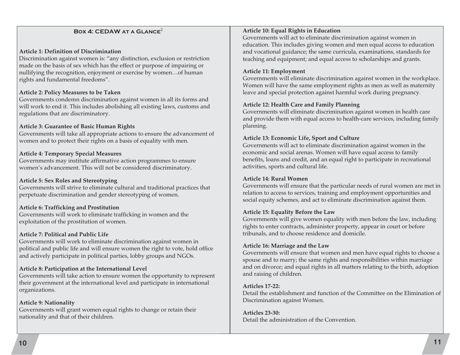#### **BOX 4: CEDAW AT A GLANCE<sup>2</sup>**

#### **Article 1: Definition of Discrimination**

Discrimination against women is: "any distinction, exclusion or restriction made on the basis of sex which has the effect or purpose of impairing or nullifying the recognition, enjoyment or exercise by women…of human rights and fundamental freedoms".

#### **Article 2: Policy Measures to be Taken**

Governments condemn discrimination against women in all its forms and will work to end it. This includes abolishing all existing laws, customs and regulations that are discriminatory.

#### **Article 3: Guarantee of Basic Human Rights**

Governments will take all appropriate actions to ensure the advancement of women and to protect their rights on a basis of equality with men.

#### **Article 4: Temporary Special Measures**

Governments may institute affirmative action programmes to ensure women's advancement. This will not be considered discriminatory.

#### **Article 5: Sex Roles and Stereotyping**

Governments will strive to eliminate cultural and traditional practices that perpetuate discrimination and gender stereotyping of women.

#### **Article 6: Trafficking and Prostitution**

Governments will work to eliminate trafficking in women and the exploitation of the prostitution of women.

#### **Article 7: Political and Public Life**

Governments will work to eliminate discrimination against women in political and public life and will ensure women the right to vote, hold office and actively participate in political parties, lobby groups and NGOs.

#### **Article 8: Participation at the International Level**

Governments will take action to ensure women the opportunity to represent their government at the international level and participate in international organizations.

#### **Article 9: Nationality**

Governments will grant women equal rights to change or retain their nationality and that of their children.

#### **Article 10: Equal Rights in Education**

Governments will act to eliminate discrimination against women in education. This includes giving women and men equal access to education and vocational guidance; the same curricula, examinations, standards for teaching and equipment; and equal access to scholarships and grants.

#### **Article 11: Employment**

Governments will eliminate discrimination against women in the workplace. Women will have the same employment rights as men as well as maternity leave and special protection against harmful work during pregnancy.

#### **Article 12: Health Care and Family Planning**

Governments will eliminate discrimination against women in health care and provide them with equal access to health-care services, including family planning.

#### **Article 13: Economic Life, Sport and Culture**

Governments will act to eliminate discrimination against women in the economic and social arenas. Women will have equal access to family benefits, loans and credit, and an equal right to participate in recreational activities, sports and cultural life.

#### **Article 14: Rural Women**

Governments will ensure that the particular needs of rural women are met in relation to access to services, training and employment opportunities and social equity schemes, and act to eliminate discrimination against them.

#### **Article 15: Equality Before the Law**

Governments will give women equality with men before the law, including rights to enter contracts, administer property, appear in court or before tribunals, and to choose residence and domicile.

#### **Article 16: Marriage and the Law**

Governments will ensure that women and men have equal rights to choose a spouse and to marry; the same rights and responsibilities within marriage and on divorce; and equal rights in all matters relating to the birth, adoption and raising of children.

#### **Articles 17-22:**

Detail the establishment and function of the Committee on the Elimination of Discrimination against Women.

#### **Articles 23-30:** Detail the administration of the Convention.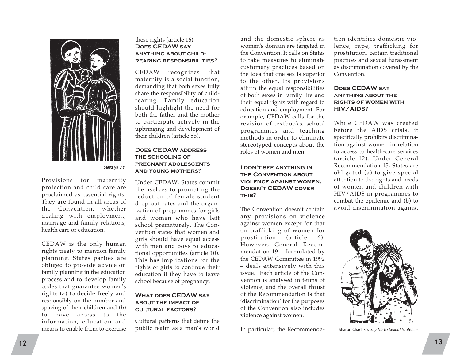

Provisions for maternity protection and child care are

proclaimed as essential rights. They are found in all areas of the Convention, whether dealing with employment, marriage and family relations, health care or education.

CEDAW is the only human rights treaty to mention family planning. States parties are obliged to provide advice on family planning in the education process and to develop family codes that guarantee women's rights (a) to decide freely and responsibly on the number and spacing of their children and (b) to have access to the information, education and means to enable them to exercise

#### these rights (article 16). **Does CEDAW say anything about childrearing responsibilities?**

CEDAW recognizes that maternity is a social function, demanding that both sexes fully share the responsibility of childrearing. Family education should highlight the need for both the father and the mother to participate actively in the upbringing and development of their children (article 5b).

#### **Does CEDAW address the schooling of pregnant adolescents and young mothers?**

Under CEDAW, States commit themselves to promoting the reduction of female student drop-out rates and the organization of programmes for girls and women who have left school prematurely. The Convention states that women and girls should have equal access with men and boys to educational opportunities (article 10). This has implications for the rights of girls to continue their education if they have to leave school because of pregnancy.

#### **What does CEDAW say about the impact of cultural factors?**

Cultural patterns that define the public realm as a man's world

and the domestic sphere as women's domain are targeted in the Convention. It calls on States to take measures to eliminate customary practices based on the idea that one sex is superior to the other. Its provisions affirm the equal responsibilities of both sexes in family life and their equal rights with regard to education and employment. For example, CEDAW calls for the revision of textbooks, school programmes and teaching methods in order to eliminate stereotyped concepts about the roles of women and men.

#### **I don't see anything in the Convention about violence against women. Doesn't CEDAW cover this?**

The Convention doesn't contain any provisions on violence against women except for that on trafficking of women for prostitution (article 6). However, General Recommendation 19 – formulated by the CEDAW Committee in 1992 – deals extensively with this issue. Each article of the Convention is analysed in terms of violence, and the overall thrust of the Recommendation is that 'discrimination' for the purposes of the Convention also includes violence against women.

In particular, the Recommenda-

tion identifies domestic violence, rape, trafficking for prostitution, certain traditional practices and sexual harassment as discrimination covered by the Convention.

#### **Does CEDAW say anything about the rights of women with HIV/AIDS?**

While CEDAW was created before the AIDS crisis, it specifically prohibits discrimination against women in relation to access to health-care services (article 12). Under General Recommendation 15, States are obligated (a) to give special attention to the rights and needs of women and children with HIV/AIDS in programmes to combat the epidemic and (b) to avoid discrimination against



Sharon Chachko, *Say No to Sexual Violence*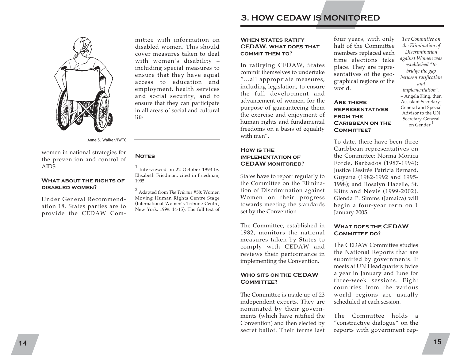

mittee with information on disabled women. This should cover measures taken to deal with women's disability – including special measures to ensure that they have equal access to education and employment, health services and social security, and to ensure that they can participate in all areas of social and cultural life.

Anne S. Walker/IWTC

women in national strategies for the prevention and control of AIDS.

#### **What about the rights of disabled women?**

Under General Recommendation 18, States parties are to provide the CEDAW Com-

#### **Notes**

1 Interviewed on 22 October 1993 by Elisabeth Friedman, cited in Friedman, 1995.

2 Adapted from *The Tribune* #58: Women Moving Human Rights Centre Stage (International Women's Tribune Centre, New York, 1999: 14-15). The full text of

# **3. HOW CEDAW IS MONITORED**

#### **WHEN STATES RATIFY CEDAW, what does that commit them to?**

In ratifying CEDAW, States commit themselves to undertake "…all appropriate measures, including legislation, to ensure the full development and advancement of women, for the purpose of guaranteeing them the exercise and enjoyment of human rights and fundamental freedoms on a basis of equality with men".

#### **How is the implementation of CEDAW monitored?**

States have to report regularly to the Committee on the Elimination of Discrimination against Women on their progress towards meeting the standards set by the Convention.

The Committee, established in 1982, monitors the national measures taken by States to comply with CEDAW and reviews their performance in implementing the Convention.

#### **Who sits on the CEDAW** COMMITTEE?

The Committee is made up of 23 independent experts. They are nominated by their governments (which have ratified the Convention) and then elected by secret ballot. Their terms last

four years, with only half of the Committee members replaced each time elections take place. They are representatives of the geographical regions of the world.

#### **Are there representatives from the Caribbean on the Committee?**

*the Elimination of Discrimination against Women was established "to bridge the gap between ratification and implementation".* – Angela King, then

*The Committee on*

Assistant Secretary-General and Special Advisor to the UN Secretary-General on Gender<sup>1</sup>

To date, there have been three Caribbean representatives on the Committee: Norma Monica Forde, Barbados (1987-1994); Justice Desirée Patricia Bernard, Guyana (1982-1992 and 1995- 1998); and Rosalyn Hazelle, St. Kitts and Nevis (1999-2002). Glenda P. Simms (Jamaica) will begin a four-year term on 1 January 2005.

#### **What does the CEDAW Committee do?**

The CEDAW Committee studies the National Reports that are submitted by governments. It meets at UN Headquarters twice a year in January and June for three-week sessions. Eight countries from the various world regions are usually scheduled at each session.

The Committee holds a "constructive dialogue" on the reports with government rep-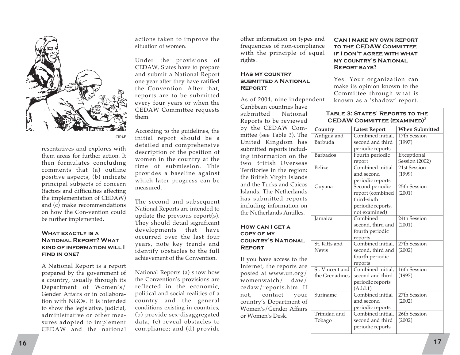

resentatives and explores with them areas for further action. It then formulates concluding comments that (a) outline positive aspects, (b) indicate principal subjects of concern (factors and difficulties affecting the implementation of CEDAW) and (c) make recommendations on how the Con-vention could be further implemented.

#### **What exactly is a National Report? What kind of information will I find in one?**

A National Report is a report prepared by the government of a country, usually through its Department of Women's/ Gender Affairs or in collaboration with NGOs. It is intended to show the legislative, judicial, administrative or other measures adopted to implement CEDAW and the national

actions taken to improve the situation of women.

Under the provisions of CEDAW, States have to prepare and submit a National Report one year after they have ratified the Convention. After that, reports are to be submitted every four years or when the CEDAW Committee requests them.

According to the guidelines, the initial report should be a detailed and comprehensive description of the position of women in the country at the time of submission. This provides a baseline against which later progress can be measured.

The second and subsequent National Reports are intended to update the previous report(s). They should detail significant developments that have occurred over the last four years, note key trends and identify obstacles to the full achievement of the Convention.

National Reports (a) show how the Convention's provisions are reflected in the economic, political and social realities of a country and the general conditions existing in countries; (b) provide sex-disaggregated data; (c) reveal obstacles to compliance; and (d) provide

other information on types and frequencies of non-compliance with the principle of equal rights.

#### **Has my country submitted a National Report?**

As of 2004, nine independent

Caribbean countries have submitted National Reports to be reviewed by the CEDAW Committee (see Table 3). The United Kingdom has submitted reports including information on the two British Overseas Territories in the region: the British Virgin Islands and the Turks and Caicos Islands. The Netherlands has submitted reports including information on the Netherlands Antilles.

#### **How can I get a copy of my country's National Report**

If you have access to the Internet, the reports are posted at www.un.org/ womenwatch/ daw/ cedaw/reports.htm. If not, contact your country's Department of Women's/Gender Affairs or Women's Desk.

#### **Can I make my own report to the CEDAW Committee if I don't agree with what my country's National Report says?**

Yes. Your organization can make its opinion known to the Committee through what is known as a 'shadow' report.

#### **Table 3: States' Reports to the CEDAW Committee (examined)**2

| Country         | <b>Latest Report</b> | <b>When Submitted</b> |
|-----------------|----------------------|-----------------------|
| Antigua and     | Combined initial.    | 17th Session          |
| Barbuda         | second and third     | (1997)                |
|                 | periodic reports     |                       |
| <b>Barbados</b> | Fourth periodic      | Exceptional           |
|                 | report               | Session (2002)        |
| Belize          | Combined initial     | 21st Session          |
|                 | and second           | (1999)                |
|                 | periodic reports     |                       |
| Guyana          | Second periodic      | 25th Session          |
|                 | report (combined     | (2001)                |
|                 | third-sixth          |                       |
|                 | periodic reports,    |                       |
|                 | not examined)        |                       |
| Jamaica         | Combined             | 24th Session          |
|                 | second, third and    | (2001)                |
|                 | fourth periodic      |                       |
|                 | reports              |                       |
| St. Kitts and   | Combined initial,    | 27th Session          |
| <b>Nevis</b>    | second, third and    | (2002)                |
|                 | fourth periodic      |                       |
|                 | reports              |                       |
| St. Vincent and | Combined initial,    | 16th Session          |
| the Grenadines  | second and third     | (1997)                |
|                 | periodic reports     |                       |
|                 | (Add.1)              |                       |
| Suriname        | Combined initial     | 27th Session          |
|                 | and second           | (2002)                |
|                 | periodic reports     |                       |
| Trinidad and    | Combined initial,    | 26th Session          |
| Tobago          | second and third     | (2002)                |
|                 | periodic reports     |                       |
|                 |                      |                       |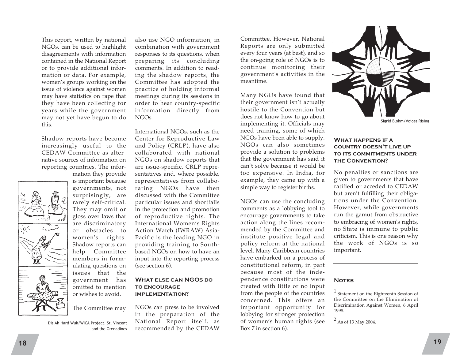This report, written by national NGOs, can be used to highlight disagreements with information contained in the National Report or to provide additional information or data. For example, women's groups working on the issue of violence against women may have statistics on rape that they have been collecting for years while the government may not yet have begun to do this.

Shadow reports have become increasingly useful to the CEDAW Committee as alternative sources of information on reporting countries. The infor-



governments, not surprisingly, are rarely self-critical. They may omit or gloss over laws that are discriminatory or obstacles to women's rights. Shadow reports can help Committee members in formulating questions on issues that the government has omitted to mention or wishes to avoid.

mation they provide is important because also use NGO information, in combination with government responses to its questions, when preparing its concluding comments. In addition to reading the shadow reports, the Committee has adopted the practice of holding informal meetings during its sessions in order to hear country-specific information directly from NGOs.

International NGOs, such as the Center for Reproductive Law and Policy (CRLP), have also collaborated with national NGOs on shadow reports that are issue-specific. CRLP representatives and, where possible, representatives from collaborating NGOs have then discussed with the Committee particular issues and shortfalls in the protection and promotion of reproductive rights. The International Women's Rights Action Watch (IWRAW) Asia-Pacific is the leading NGO in providing training to Southbased NGOs on how to have an input into the reporting process (see section 6).

#### **What else can NGOs do to encourage implementation?**

NGOs can press to be involved in the preparation of the National Report itself, as recommended by the CEDAW

The Committee may

Dis Ah Hard Wuk/WICA Project, St. Vincent and the Grenadines Committee. However, National Reports are only submitted every four years (at best), and so the on-going role of NGOs is to continue monitoring their government's activities in the meantime.

Many NGOs have found that their government isn't actually hostile to the Convention but does not know how to go about implementing it. Officials may need training, some of which NGOs have been able to supply. NGOs can also sometimes provide a solution to problems that the government has said it can't solve because it would be too expensive. In India, for example, they came up with a simple way to register births.

NGOs can use the concluding comments as a lobbying tool to encourage governments to take action along the lines recommended by the Committee and institute positive legal and policy reform at the national level. Many Caribbean countries have embarked on a process of constitutional reform, in part because most of the independence constitutions were created with little or no input from the people of the countries concerned. This offers an important opportunity for lobbying for stronger protection of women's human rights (see Box 7 in section 6).



Sigrid Blohm/Voices Rising

#### **What happens if a country doesn't live up to its commitments under the Convention?**

No penalties or sanctions are given to governments that have ratified or acceded to CEDAW but aren't fulfilling their obligations under the Convention. However, while governments run the gamut from obstructive to embracing of women's rights, no State is immune to public criticism. This is one reason why the work of NGOs is so important.

#### **Notes**

1 Statement on the Eighteenth Session of the Committee on the Elimination of Discrimination Against Women, 6 April 1998.

2 As of 13 May 2004.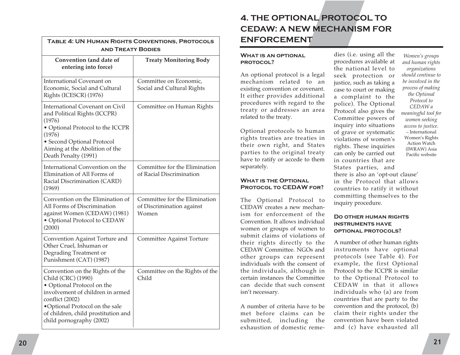| TABLE 4: UN HUMAN RIGHTS CONVENTIONS, PROTOCOLS<br><b>AND TREATY BODIES</b>                                                                                                                                                                     |                                                                     |  |  |
|-------------------------------------------------------------------------------------------------------------------------------------------------------------------------------------------------------------------------------------------------|---------------------------------------------------------------------|--|--|
| Convention (and date of<br>entering into force)                                                                                                                                                                                                 | <b>Treaty Monitoring Body</b>                                       |  |  |
| <b>International Covenant on</b><br>Economic, Social and Cultural<br>Rights (ICESCR) (1976)                                                                                                                                                     | Committee on Economic,<br>Social and Cultural Rights                |  |  |
| International Covenant on Civil<br>and Political Rights (ICCPR)<br>(1976)<br>• Optional Protocol to the ICCPR<br>(1976)<br>• Second Optional Protocol<br>Aiming at the Abolition of the<br>Death Penalty (1991)                                 | Committee on Human Rights                                           |  |  |
| International Convention on the<br>Elimination of All Forms of<br>Racial Discrimination (CARD)<br>(1969)                                                                                                                                        | Committee for the Elimination<br>of Racial Discrimination           |  |  |
| Convention on the Elimination of<br>All Forms of Discrimination<br>against Women (CEDAW) (1981)<br>· Optional Protocol to CEDAW<br>(2000)                                                                                                       | Committee for the Elimination<br>of Discrimination against<br>Women |  |  |
| Convention Against Torture and<br>Other Cruel, Inhuman or<br>Degrading Treatment or<br>Punishment (CAT) (1987)                                                                                                                                  | Committee Against Torture                                           |  |  |
| Convention on the Rights of the<br>Child (CRC) (1990)<br>• Optional Protocol on the<br>involvement of children in armed<br>conflict (2002)<br>•Optional Protocol on the sale<br>of children, child prostitution and<br>child pornography (2002) | Committee on the Rights of the<br>Child                             |  |  |

# **4. THE OPTIONAL PROTOCOL TO CEDAW: A NEW MECHANISM FOR ENFORCEMENT**

#### **What is an optional protocol?**

An optional protocol is a legal mechanism related to an existing convention or covenant. It either provides additional procedures with regard to the treaty or addresses an area related to the treaty.

Optional protocols to human rights treaties are treaties in their own right, and States parties to the original treaty have to ratify or accede to them separately.

#### **What is the Optional Protocol to CEDAW for?**

The Optional Protocol to CEDAW creates a new mechanism for enforcement of the Convention. It allows individual women or groups of women to submit claims of violations of their rights directly to the CEDAW Committee. NGOs and other groups can represent individuals with the consent of the individuals, although in certain instances the Committee can decide that such consent isn't necessary.

A number of criteria have to be met before claims can be submitted, including the exhaustion of domestic reme-

dies (i.e. using all the procedures available at the national level to seek protection or justice, such as taking a case to court or making a complaint to the police). The Optional Protocol also gives the Committee powers of inquiry into situations of grave or systematic violations of women's rights. These inquiries can only be carried out in countries that are States parties, and there is also an 'opt-out clause' in the Protocol that allows countries to ratify it without committing themselves to the inquiry procedure. *Women's groups and human rights should continue to be involved in the process of making meaningful tool for access to justice.*

*organizations*

*the Optional Protocol to CEDAW a*

*women seeking*

– International Women's Rights Action Watch (IWRAW) Asia Pacific website

**Do other human rights instruments have optional protocols?**

A number of other human rights instruments have optional protocols (see Table 4). For example, the first Optional Protocol to the ICCPR is similar to the Optional Protocol to CEDAW in that it allows individuals who (a) are from countries that are party to the convention and the protocol, (b) claim their rights under the convention have been violated and (c) have exhausted all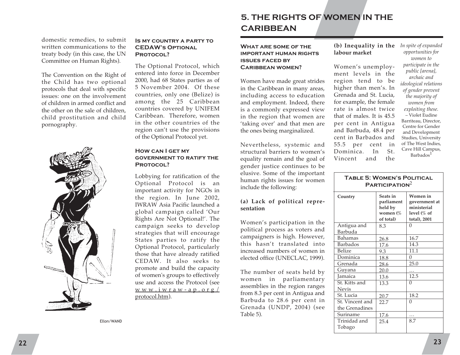domestic remedies, to submit written communications to the treaty body (in this case, the UN Committee on Human Rights).

The Convention on the Right of the Child has two optional protocols that deal with specific issues: one on the involvement of children in armed conflict and the other on the sale of children, child prostitution and child pornography.



#### **Is my country a party to CEDAW's Optional** PROTOCOL?

The Optional Protocol, which entered into force in December 2000, had 68 States parties as of 5 November 2004. Of these countries, only one (Belize) is among the 25 Caribbean countries covered by UNIFEM Caribbean. Therefore, women in the other countries of the region can't use the provisions of the Optional Protocol yet.

#### **How can I get my government to ratify the Protocol?**

Lobbying for ratification of the Optional Protocol is an important activity for NGOs in the region. In June 2002, IWRAW Asia Pacific launched a global campaign called 'Our Rights Are Not Optional!'. The campaign seeks to develop strategies that will encourage States parties to ratify the Optional Protocol, particularly those that have already ratified CEDAW. It also seeks to promote and build the capacity of women's groups to effectively use and access the Protocol (see www.iwraw-ap.org/ protocol.htm).

# **5. THE RIGHTS OF WOMEN IN THE CARIBBEAN**

#### **What are some of the important human rights issues faced by Caribbean women?**

Women have made great strides in the Caribbean in many areas, including access to education and employment. Indeed, there is a commonly expressed view in the region that women are 'taking over' and that men are the ones being marginalized.

Nevertheless, systemic and structural barriers to women's equality remain and the goal of gender justice continues to be elusive. Some of the important human rights issues for women include the following:

#### **(a) Lack of political representation**

#### **(b) Inequality in the** *In spite of expanded* **labour market**

Women's unemployment levels in the region tend to be higher than men's. In Grenada and St. Lucia, for example, the female rate is almost twice that of males. It is 45.5 per cent in Antigua and Barbuda, 48.4 per cent in Barbados and 55.5 per cent in Dominica. In St. Vincent and the

*opportunities for women to participate in the public [arena], archaic and ideological relations of gender prevent the majority of women from exploiting these.*  – Violet Eudine Barriteau, Director, Centre for Gender and Development Studies, University of The West Indies, Cave Hill Campus, Barbados<sup>1</sup>

### **Table 5: Women's Political Participation**2

|            | the region. In June 2002,<br><b>IWRAW</b> Asia Pacific launched a<br>global campaign called 'Our<br>Rights Are Not Optional!'. The                                                                                      | (a) Lack of political repre-<br>sentation                       | Country                | Seats in<br>parliament<br>held by<br>women $\frac{1}{2}$<br>of total) | Women in<br>government at<br>ministerial<br>level ( $%$ of<br>total), 2001 |
|------------|-------------------------------------------------------------------------------------------------------------------------------------------------------------------------------------------------------------------------|-----------------------------------------------------------------|------------------------|-----------------------------------------------------------------------|----------------------------------------------------------------------------|
|            | campaign seeks to develop<br>strategies that will encourage                                                                                                                                                             | Women's participation in the<br>political process as voters and | Antigua and<br>Barbuda | 8.3                                                                   | $\Omega$                                                                   |
|            | States parties to ratify the                                                                                                                                                                                            | campaigners is high. However,                                   | Bahamas                | 26.8                                                                  | 16.7                                                                       |
|            | Optional Protocol, particularly                                                                                                                                                                                         | this hasn't translated into                                     | Barbados               | 17.6                                                                  | 14.3                                                                       |
|            | those that have already ratified                                                                                                                                                                                        | increased numbers of women in                                   | Belize                 | 9.3                                                                   | 11.1                                                                       |
|            | CEDAW. It also seeks to                                                                                                                                                                                                 | elected office (UNECLAC, 1999).                                 | Dominica               | 18.8                                                                  | $\Omega$                                                                   |
|            |                                                                                                                                                                                                                         |                                                                 | Grenada                | 28.6                                                                  | 25.0                                                                       |
|            | promote and build the capacity                                                                                                                                                                                          | The number of seats held by                                     | Guyana                 | 20.0                                                                  | $\cdots$                                                                   |
|            | of women's groups to effectively                                                                                                                                                                                        | women in parliamentary                                          | Jamaica                | 13.6                                                                  | 12.5                                                                       |
|            | use and access the Protocol (see                                                                                                                                                                                        | assemblies in the region ranges                                 | St. Kitts and          | 13.3                                                                  | $\Omega$                                                                   |
|            | $\underline{w} \underline{w} \underline{w} \underline{w} \underline{i} \underline{w} \underline{r} \underline{a} \underline{w} \underline{a} \underline{p} \underline{c} \underline{r} \underline{g}$<br>protocol.htm). | from 8.3 per cent in Antigua and                                | <b>Nevis</b>           |                                                                       |                                                                            |
|            |                                                                                                                                                                                                                         |                                                                 | St. Lucia              | 20.7                                                                  | 18.2                                                                       |
|            |                                                                                                                                                                                                                         | Barbuda to 28.6 per cent in                                     | St. Vincent and        | 22.7                                                                  | $\Omega$                                                                   |
|            |                                                                                                                                                                                                                         | Grenada (UNDP, 2004) (see                                       | the Grenadines         |                                                                       |                                                                            |
|            |                                                                                                                                                                                                                         | Table 5).                                                       | Suriname               | 17.6                                                                  | $\cdots$                                                                   |
| Ellon/WAND |                                                                                                                                                                                                                         |                                                                 | Trinidad and           | 25.4                                                                  | 8.7                                                                        |
|            |                                                                                                                                                                                                                         |                                                                 | Tobago                 |                                                                       |                                                                            |
|            |                                                                                                                                                                                                                         |                                                                 |                        |                                                                       |                                                                            |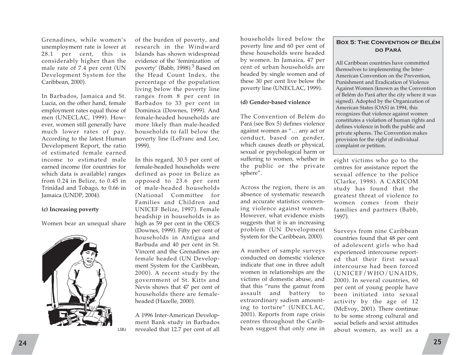Grenadines, while women's unemployment rate is lower at 28.1 per cent, this is considerably higher than the male rate of 7.4 per cent (UN Development System for the Caribbean, 2000).

In Barbados, Jamaica and St. Lucia, on the other hand, female employment rates equal those of men (UNECLAC, 1999). However, women still generally have much lower rates of pay. According to the latest Human Development Report, the ratio of estimated female earned income to estimated male earned income (for countries for which data is available) ranges from 0.24 in Belize, to 0.45 in Trinidad and Tobago, to 0.66 in Jamaica (UNDP, 2004).

#### **(c) Increasing poverty**

Women bear an unequal share



of the burden of poverty, and research in the Windward Islands has shown widespread evidence of the 'feminization of poverty' (Babb, 1998).<sup>3</sup> Based on the Head Count Index, the percentage of the population living below the poverty line ranges from 8 per cent in Barbados to 33 per cent in Dominica (Downes, 1999). And female-headed households are more likely than male-headed households to fall below the poverty line (LeFranc and Lee, 1999).

In this regard, 30.5 per cent of female-headed households were defined as poor in Belize as opposed to 23.6 per cent of male-headed households (National Committee for Families and Children and UNICEF Belize, 1997). Female headship in households is as high as 59 per cent in the OECS (Downes, 1999). Fifty per cent of households in Antigua and Barbuda and 40 per cent in St. Vincent and the Grenadines are female headed (UN Development System for the Caribbean, 2000). A recent study by the government of St. Kitts and Nevis shows that 47 per cent of households there are femaleheaded (Hazelle, 2000).

A 1996 Inter-American Development Bank study in Barbados revealed that 12.7 per cent of all households lived below the poverty line and 60 per cent of these households were headed by women. In Jamaica, 47 per cent of urban households are headed by single women and of these 30 per cent live below the poverty line (UNECLAC, 1999).

#### **(d) Gender-based violence**

The Convention of Belém do Pará (see Box 5) defines violence against women as "… any act or conduct, based on gender, which causes death or physical, sexual or psychological harm or suffering to women, whether in the public or the private sphere".

Across the region, there is an absence of systematic research and accurate statistics concerning violence against women. However, what evidence exists suggests that it is an increasing problem (UN Development System for the Caribbean, 2000).

A number of sample surveys conducted on domestic violence indicate that one in three adult women in relationships are the victims of domestic abuse, and that this "runs the gamut from assault and battery to extraordinary sadism amounting to torture" (UNECLAC, 2001). Reports from rape crisis centres throughout the Caribbean suggest that only one in

## **Box 5: The Convention of Belém do Pará**

All Caribbean countries have committed themselves to implementing the Inter-American Convention on the Prevention, Punishment and Eradication of Violence Against Women (known as the Convention of Belém do Pará after the city where it was signed). Adopted by the Organization of American States (OAS) in 1994, this recognizes that violence against women constitutes a violation of human rights and defines violence in both the public and private spheres. The Convention makes provision for the right of individual complaint or petition.

eight victims who go to the centres for assistance report the sexual offence to the police (Clarke, 1998). A CARICOM study has found that the greatest threat of violence to women comes from their families and partners (Babb, 1997).

Surveys from nine Caribbean countries found that 48 per cent of adolescent girls who had experienced intercourse reported that their first sexual intercourse had been forced (UNICEF/WHO/UNAIDS, 2000). In several countries, 60 per cent of young people have been initiated into sexual activity by the age of 12 (McEvoy, 2001). There continue to be some strong cultural and social beliefs and sexist attitudes about women, as well as a

LSBJ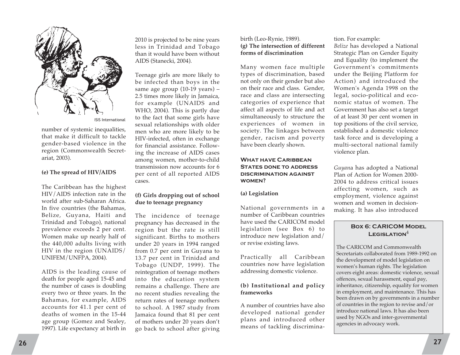

ISIS International

number of systemic inequalities, that make it difficult to tackle gender-based violence in the region (Commonwealth Secretariat, 2003).

#### **(e) The spread of HIV/AIDS**

The Caribbean has the highest HIV/AIDS infection rate in the world after sub-Saharan Africa. In five countries (the Bahamas, Belize, Guyana, Haiti and Trinidad and Tobago), national prevalence exceeds 2 per cent. Women make up nearly half of the 440,000 adults living with HIV in the region (UNAIDS/ UNIFEM/UNFPA, 2004).

AIDS is the leading cause of death for people aged 15-45 and the number of cases is doubling every two or three years. In the Bahamas, for example, AIDS accounts for 41.1 per cent of deaths of women in the 15-44 age group (Gomez and Sealey, 1997). Life expectancy at birth in

2010 is projected to be nine years less in Trinidad and Tobago than it would have been without AIDS (Stanecki, 2004).

Teenage girls are more likely to be infected than boys in the same age group (10-19 years) – 2.5 times more likely in Jamaica, for example (UNAIDS and WHO, 2004). This is partly due to the fact that some girls have sexual relationships with older men who are more likely to be HIV-infected, often in exchange for financial assistance. Following the increase of AIDS cases among women, mother-to-child transmission now accounts for 6 per cent of all reported AIDS cases.

#### **(f) Girls dropping out of school due to teenage pregnancy**

The incidence of teenage pregnancy has decreased in the region but the rate is still significant. Births to mothers under 20 years in 1994 ranged from 0.7 per cent in Guyana to 13.7 per cent in Trinidad and Tobago (UNDP, 1999). The reintegration of teenage mothers into the education system remains a challenge. There are no recent studies revealing the return rates of teenage mothers to school. A 1987 study from Jamaica found that 81 per cent of mothers under 20 years don't go back to school after giving

#### birth (Leo-Rynie, 1989). **(g) The intersection of different forms of discrimination**

Many women face multiple types of discrimination, based not only on their gender but also on their race and class. Gender, race and class are intersecting categories of experience that affect all aspects of life and act simultaneously to structure the experiences of women in society. The linkages between gender, racism and poverty have been clearly shown.

#### **What have Caribbean States done to address discrimination against women?**

#### **(a) Legislation**

National governments in a number of Caribbean countries have used the CARICOM model legislation (see Box 6) to introduce new legislation and/ or revise existing laws.

Practically all Caribbean countries now have legislation addressing domestic violence.

#### **(b) Institutional and policy frameworks**

A number of countries have also developed national gender plans and introduced other means of tackling discrimination. For example:

*Belize* has developed a National Strategic Plan on Gender Equity and Equality (to implement the Government's commitments under the Beijing Platform for Action) and introduced the Women's Agenda 1998 on the legal, socio-political and economic status of women. The Government has also set a target of at least 30 per cent women in top positions of the civil service, established a domestic violence task force and is developing a multi-sectoral national family violence plan.

*Guyan*a has adopted a National Plan of Action for Women 2000- 2004 to address critical issues affecting women, such as employment, violence against women and women in decisionmaking. It has also introduced

#### **Box 6: CARICOM Model Legislation**4

The CARICOM and Commonwealth Secretariats collaborated from 1989-1992 on the development of model legislation on women's human rights. The legislation covers eight areas: domestic violence, sexual offences, sexual harassment, equal pay, inheritance, citizenship, equality for women in employment, and maintenance. This has been drawn on by governments in a number of countries in the region to revise and/or introduce national laws. It has also been used by NGOs and inter-governmental agencies in advocacy work.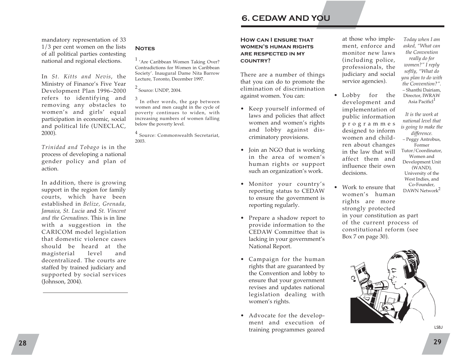# **6. CEDAW AND YOU**

mandatory representation of 33 1/3 per cent women on the lists of all political parties contesting national and regional elections.

In *St. Kitts and Nevis*, the Ministry of Finance's Five Year Development Plan 1996–2000 refers to identifying and removing any obstacles to women's and girls' equal participation in economic, social and political life (UNECLAC, 2000).

*Trinidad and Tobago* is in the process of developing a national gender policy and plan of action.

In addition, there is growing support in the region for family courts, which have been established in *Belize, Grenada, Jamaica, St. Lucia* and *St. Vincent and the Grenadines*. This is in line with a suggestion in the CARICOM model legislation that domestic violence cases should be heard at the magisterial level and decentralized. The courts are staffed by trained judiciary and supported by social services (Johnson, 2004).

#### **Notes**

 $<sup>1</sup>$  'Are Caribbean Women Taking Over?</sup> Contradictions for Women in Caribbean Society'. Inaugural Dame Nita Barrow Lecture, Toronto, December 1997.

2 Source: UNDP, 2004.

3 In other words, the gap between women and men caught in the cycle of poverty continues to widen, with increasing numbers of women falling below the poverty level.

4 Source: Commonwealth Secretariat, 2003.

#### **How can I ensure that women's human rights are respected in my country?**

There are a number of things that you can do to promote the elimination of discrimination against women. You can:

- Keep yourself informed of laws and policies that affect women and women's rights and lobby against discriminatory provisions.
- Join an NGO that is working in the area of women's human rights or support such an organization's work.
- Monitor your country's reporting status to CEDAW to ensure the government is reporting regularly.
- Prepare a shadow report to provide information to the CEDAW Committee that is lacking in your government's National Report.
- Campaign for the human rights that are guaranteed by the Convention and lobby to ensure that your government revises and updates national legislation dealing with women's rights.
- Advocate for the development and execution of training programmes geared

at those who implement, enforce and monitor new laws (including police, professionals, the judiciary and social service agencies).

- Lobby for the development and implementation of public information programmes designed to inform women and children about changes in the law that will affect them and influence their own decisions. *national level that is going to make the* – Peggy Antrobus, Tutor/Coordinator, Development Unit
- Work to ensure that women's human rights are more strongly protected in your constitution as part of the current process of constitutional reform (see Box 7 on page 30). Co-Founder, DAWN Network<sup>2</sup>



*It is the work at*

*difference.*

Former

Women and

(WAND), University of the West Indies, and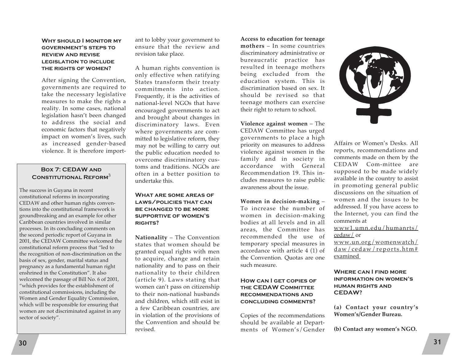#### **Why should I monitor my government's steps to review and revise legislation to include the rights of women?**

After signing the Convention, governments are required to take the necessary legislative measures to make the rights a reality. In some cases, national legislation hasn't been changed to address the social and economic factors that negatively impact on women's lives, such as increased gender-based violence. It is therefore import-

#### **Box 7: CEDAW and Constitutional Reform**3

The success in Guyana in recent constitutional reforms in incorporating CEDAW and other human rights conventions into the constitutional framework is groundbreaking and an example for other Caribbean countries involved in similar processes. In its concluding comments on the second periodic report of Guyana in 2001, the CEDAW Committee welcomed the constitutional reform process that "led to the recognition of non-discrimination on the basis of sex, gender, marital status and pregnancy as a fundamental human right enshrined in the Constitution". It also welcomed the passage of Bill No. 6 of 2001, "which provides for the establishment of constitutional commissions, including the Women and Gender Equality Commission, which will be responsible for ensuring that women are not discriminated against in any sector of society".

ant to lobby your government to ensure that the review and revision take place.

A human rights convention is only effective when ratifying States transform their treaty commitments into action. Frequently, it is the activities of national-level NGOs that have encouraged governments to act and brought about changes in discriminatory laws. Even where governments are committed to legislative reform, they may not be willing to carry out the public education needed to overcome discriminatory customs and traditions. NGOs are often in a better position to undertake this.

#### **What are some areas of laws/policies that can be changed to be more supportive of women's rights?**

**Nationality** – The Convention states that women should be granted equal rights with men to acquire, change and retain nationality and to pass on their nationality to their children (article 9). Laws stating that women can't pass on citizenship to their non-national husbands and children, which still exist in a few Caribbean countries, are in violation of the provisions of the Convention and should be revised.

**Access to education for teenage mothers** – In some countries discriminatory administrative or bureaucratic practice has resulted in teenage mothers being excluded from the education system. This is discrimination based on sex. It should be revised so that teenage mothers can exercise their right to return to school.

**Violence against women** – The CEDAW Committee has urged governments to place a high priority on measures to address violence against women in the family and in society in accordance with General Recommendation 19. This includes measures to raise public awareness about the issue.

#### **Women in decision-making** –

To increase the number of women in decision-making bodies at all levels and in all areas, the Committee has recommended the use of temporary special measures in accordance with article 4 (1) of the Convention. Quotas are one such measure.

#### **How can I get copies of the CEDAW Committee recommendations and concluding comments?**

Copies of the recommendations should be available at Departments of Women's/Gender



Affairs or Women's Desks. All reports, recommendations and comments made on them by the CEDAW Com-mittee are supposed to be made widely available in the country to assist in promoting general public discussions on the situation of women and the issues to be addressed. If you have access to the Internet, you can find the comments at www1.umn.edu/humanrts/ cedaw/ or www.un.org/womenwatch/ daw/cedaw/reports.htm# examined

#### **Where can I find more information on women's human rights and CEDAW?**

**(a) Contact your country's Women's/Gender Bureau.**

**(b) Contact any women's NGO.**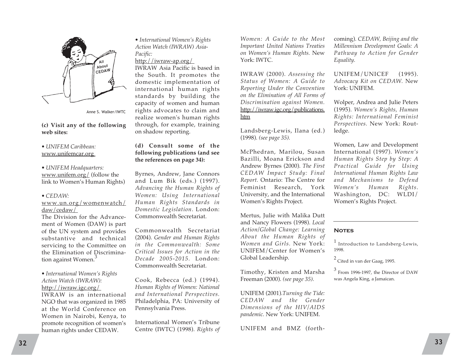

Anne S. Walker/IWTC

**(c) Visit any of the following web sites:**

#### *• UNIFEM Caribbean:* www.unifemcar.org

*• UNIFEM Headquarters:* www.unifem.org/ (follow the link to Women's Human Rights)

#### *• CEDAW:*

www.un.org/womenwatch/ daw/cedaw/

The Division for the Advancement of Women (DAW) is part of the UN system and provides substantive and technical servicing to the Committee on the Elimination of Discrimination against Women.<sup>3</sup>

#### *• International Women's Rights Action Watch (IWRAW):* http://iwraw.igc.org/

IWRAW is an international NGO that was organized in 1985 at the World Conference on Women in Nairobi, Kenya, to promote recognition of women's human rights under CEDAW.

*• International Women's Rights Action Watch (IWRAW) Asia-Pacific:* 

http://iwraw-ap.org/

IWRAW Asia Pacific is based in the South. It promotes the domestic implementation of international human rights standards by building the capacity of women and human rights advocates to claim and realize women's human rights through, for example, training on shadow reporting.

#### **(d) Consult some of the following publications (and see the references on page 34):**

Byrnes, Andrew, Jane Connors and Lum Bik (eds.) (1997). *Advancing the Human Rights of Women: Using International Human Rights Standards in Domestic Legislation*. London: Commonwealth Secretariat.

Commonwealth Secretariat (2004). *Gender and Human Rights in the Commonwealth: Some Critical Issues for Action in the Decade 2005-2015.* London: Commonwealth Secretariat.

Cook, Rebecca (ed.) (1994). *Human Rights of Women: National and International Perspectives.* Philadelphia, PA: University of Pennsylvania Press.

International Women's Tribune Centre (IWTC) (1998). *Rights of*

*Women: A Guide to the Most Important United Nations Treaties on Women's Human Rights.* New York: IWTC.

IWRAW (2000). *Assessing the Status of Women: A Guide to Reporting Under the Convention on the Elimination of All Forms of Discrimination against Women.* http://iwraw.igc.org/publications. htm

Landsberg-Lewis, Ilana (ed.) (1998). *(see page 35).*

McPhedran, Marilou, Susan Bazilli, Moana Erickson and Andrew Byrnes (2000). *The First CEDAW Impact Study: Final Report.* Ontario: The Centre for Feminist Research, York University, and the International Women's Rights Project.

Mertus, Julie with Malika Dutt and Nancy Flowers (1998). *Local Action/Global Change: Learning About the Human Rights of Women and Girls.* New York: UNIFEM/Center for Women's Global Leadership.

Timothy, Kristen and Marsha Freeman (2000). *(see page 35).*

UNIFEM (2001).*Turning the Tide: CEDAW and the Gender Dimensions of the HIV/AIDS pandemic.* New York: UNIFEM.

UNIFEM and BMZ (forth-

coming). *CEDAW, Beijing and the Millennium Development Goals: A Pathway to Action for Gender Equality.*

UNIFEM/UNICEF (1995). *Advocacy Kit on CEDAW.* New York: UNIFEM.

Wolper, Andrea and Julie Peters (1995). *Women's Rights, Human Rights: International Feminist Perspectives.* New York: Routledge.

Women, Law and Development International (1997). *Women's Human Rights Step by Step: A Practical Guide for Using International Human Rights Law and Mechanisms to Defend Women's Human Rights*. Washington, DC: WLDI/ Women's Rights Project.

#### **Notes**

1 Introduction to Landsberg-Lewis, 1998.

2 Cited in van der Gaag, 1995.

 $3$  From 1996-1997, the Director of DAW was Angela King, a Jamaican.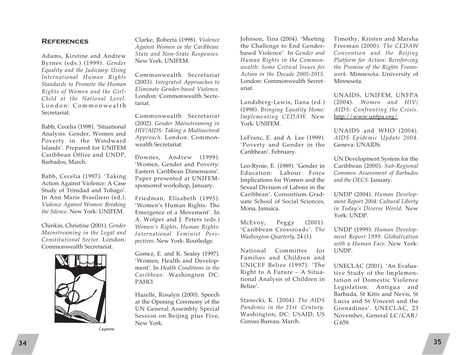#### **References**

Adams, Kirstine and Andrew Byrnes (eds.) (1999). *Gender Equality and the Judiciary: Using International Human Rights Standards to Promote the Human Rights of Women and the Girl-Child at the National Level.* London: Commonwealth **Secretariat** 

Babb, Cecelia (1998). 'Situational Analysis: Gender, Women and Poverty in the Windward Islands'. Prepared for UNIFEM Caribbean Office and UNDP, Barbados, March.

Babb, Cecelia (1997). 'Taking Action Against Violence: A Case Study of Trinidad and Tobago'. In Ann Marie Brasiliero (ed.). *Violence Against Women: Breaking the Silence.* New York: UNIFEM.

Chinkin, Christine (2001). *Gender Mainstreaming in the Legal and Constitutional Sector.* London*:* Commonwealth Secretariat.



Cayenne

Clarke, Roberta (1998). *Violence Against Women in the Caribbean: State and Non-State Responses.* New York: UNIFEM.

Commonwealth Secretariat (2003). *Integrated Approaches to Eliminate Gender-based Violence.* London: Commonwealth Secretariat.

Commonwealth Secretariat (2002). *Gender Mainstreaming in HIV/AIDS: Taking a Multisectoral Approach.* London: Commonwealth Secretariat.

Downes, Andrew (1999). 'Women, Gender and Poverty: Eastern Caribbean Dimensions'. Paper presented at UNIFEMsponsored workshop, January.

Friedman, Elisabeth (1995). 'Women's Human Rights: The Emergence of a Movement'. In A. Wolper and J. Peters (eds.) *Women's Rights, Human Rights: International Feminist Perspectives.* New York: Routledge.

Gomez, E. and K. Sealey (1997). 'Women, Health and Development'. In *Health Conditions in the Caribbean*. Washington DC: PAHO.

Hazelle, Rosalyn (2000). Speech at the Opening Ceremony of the UN General Assembly Special Session on Beijing plus Five, New York.

Johnson, Tina (2004). 'Meeting the Challenge to End Genderbased Violence'. In *Gender and Human Rights in the Commonwealth: Some Critical Issues for Action in the Decade 2005-2015.* London: Commonwealth Secretariat.

Landsberg-Lewis, Ilana (ed.) (1998). *Bringing Equality Home: Implementing CEDAW.* New York: UNIFEM.

LeFranc, E. and A. Lee (1999). 'Poverty and Gender in the Caribbean'. February.

Leo-Rynie, E. (1989). 'Gender in Education: Labour Force Implications for Women and the Sexual Division of Labour in the Caribbean'. Consortium Graduate School of Social Sciences, Mona, Jamaica.

McEvoy, Peggy (2001). 'Caribbean Crossroads'. *The Washington Quarterly*, 24 (1).

National Committee for Families and Children and UNICEF Belize (1997). 'The Right to A Future – A Situational Analysis of Children in Belize'.

Stanecki, K. (2004). *The AIDS Pandemic in the 21st Century.* Washington, DC: USAID, US Census Bureau. March.

Timothy, Kristen and Marsha Freeman (2000). *The CEDAW Convention and the Beijing Platform for Action: Reinforcing the Promise of the Rights Framework.* Minnesota: University of Minnesota.

UNAIDS, UNIFEM, UNFPA (2004). *Women and HIV/ AIDS: Confronting the Crisis*. http://www.unfpa.org/

UNAIDS and WHO (2004). *AIDS Epidemic Update 2004.* Geneva: UNAIDS.

UN Development System for the Caribbean (2000). *Sub-Regional Common Assessment of Barbados and the OECS*. January.

UNDP (2004). *Human Development Report 2004: Cultural Liberty in Today's Diverse World.* New York: UNDP.

UNDP (1999). *Human Development Report 1999: Globalization with a Human Face.* New York: UNDP.

UNECLAC (2001). 'An Evaluative Study of the Implementation of Domestic Violence Legislation: Antigua and Barbuda, St Kitts and Nevis, St Lucia and St Vincent and the Grenadines'. UNECLAC, 23 November, General LC/CAR/ G.659.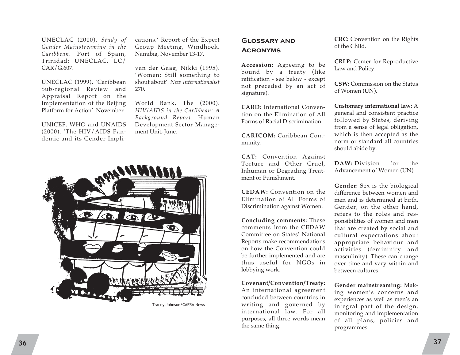UNECLAC (2000). *Study of Gender Mainstreaming in the Caribbean.* Port of Spain, Trinidad: UNECLAC. LC/ CAR/G.607.

UNECLAC (1999). 'Caribbean Sub-regional Review and Appraisal Report on the Implementation of the Beijing Platform for Action'. November.

UNICEF, WHO and UNAIDS (2000). 'The HIV/AIDS Pandemic and its Gender Implications.' Report of the Expert Group Meeting, Windhoek, Namibia, November 13-17.

van der Gaag, Nikki (1995). 'Women: Still something to shout about'. *New Internationalist* 270.

World Bank, The (2000). *HIV/AIDS in the Caribbean: A Background Report.* Human Development Sector Management Unit, June.



Tracey Johnson/CAFRA News

## **Glossary and Acronyms**

**Accession:** Agreeing to be bound by a treaty (like ratification - see below - except not preceded by an act of signature).

**CARD:** International Convention on the Elimination of All Forms of Racial Discrimination.

**CARICOM:** Caribbean Community.

**CAT:** Convention Against Torture and Other Cruel, Inhuman or Degrading Treatment or Punishment.

**CEDAW:** Convention on the Elimination of All Forms of Discrimination against Women.

**Concluding comments:** These comments from the CEDAW Committee on States' National Reports make recommendations on how the Convention could be further implemented and are thus useful for NGOs in lobbying work.

**Covenant/Convention/Treaty:**

An international agreement concluded between countries in writing and governed by international law. For all purposes, all three words mean the same thing.

**CRC:** Convention on the Rights of the Child.

**CRLP:** Center for Reproductive Law and Policy.

**CSW:** Commission on the Status of Women (UN).

**Customary international law:** A general and consistent practice followed by States, deriving from a sense of legal obligation, which is then accepted as the norm or standard all countries should abide by.

**DAW:** Division for the Advancement of Women (UN).

**Gender:** Sex is the biological difference between women and men and is determined at birth. Gender, on the other hand, refers to the roles and responsibilities of women and men that are created by social and cultural expectations about appropriate behaviour and activities (femininity and masculinity). These can change over time and vary within and between cultures.

**Gender mainstreaming:** Making women's concerns and experiences as well as men's an integral part of the design, monitoring and implementation of all plans, policies and programmes.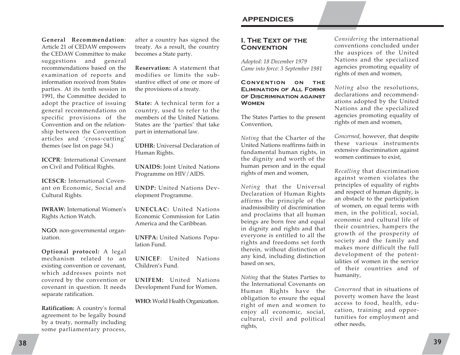**General Recommendation**: Article 21 of CEDAW empowers the CEDAW Committee to make suggestions and general recommendations based on the examination of reports and information received from States parties. At its tenth session in 1991, the Committee decided to adopt the practice of issuing general recommendations on specific provisions of the Convention and on the relationship between the Convention articles and 'cross-cutting' themes (see list on page 54.)

**ICCPR**: International Covenant on Civil and Political Rights.

**ICESCR:** International Covenant on Economic, Social and Cultural Rights.

**IWRAW:** International Women's Rights Action Watch.

**NGO:** non-governmental organization.

**Optional protocol:** A legal mechanism related to an existing convention or covenant, which addresses points not covered by the convention or covenant in question. It needs separate ratification.

**Ratification:** A country's formal agreement to be legally bound by a treaty, normally including some parliamentary process,

after a country has signed the treaty. As a result, the country becomes a State party.

**Reservation:** A statement that modifies or limits the substantive effect of one or more of the provisions of a treaty.

**State:** A technical term for a country, used to refer to the members of the United Nations. States are the 'parties' that take part in international law.

**UDHR:** Universal Declaration of Human Rights.

**UNAIDS:** Joint United Nations Programme on HIV/AIDS.

**UNDP:** United Nations Development Programme.

**UNECLAC:** United Nations Economic Commission for Latin America and the Caribbean.

**UNFPA:** United Nations Population Fund.

**UNICEF**: United Nations Children's Fund.

**UNIFEM:** United Nations Development Fund for Women.

**WHO:** World Health Organization.

#### **I. The Text of the Convention**

*Adopted: 18 December 1979 Came into force: 3 September 1981*

#### **Convention on the Elimination of All Forms of Discrimination against Women**

The States Parties to the present Convention,

*Noting* that the Charter of the United Nations reaffirms faith in fundamental human rights, in the dignity and worth of the human person and in the equal rights of men and women,

*Noting* that the Universal Declaration of Human Rights affirms the principle of the inadmissibility of discrimination and proclaims that all human beings are born free and equal in dignity and rights and that everyone is entitled to all the rights and freedoms set forth therein, without distinction of any kind, including distinction based on sex,

*Noting* that the States Parties to the International Covenants on Human Rights have the obligation to ensure the equal right of men and women to enjoy all economic, social, cultural, civil and political rights,

*Considering* the international conventions concluded under the auspices of the United Nations and the specialized agencies promoting equality of rights of men and women,

*Noting* also the resolutions, declarations and recommendations adopted by the United Nations and the specialized agencies promoting equality of rights of men and women,

*Concerned*, however, that despite these various instruments extensive discrimination against women continues to exist,

*Recalling* that discrimination against women violates the principles of equality of rights and respect of human dignity, is an obstacle to the participation of women, on equal terms with men, in the political, social, economic and cultural life of their countries, hampers the growth of the prosperity of society and the family and makes more difficult the full development of the potentialities of women in the service of their countries and of humanity,

*Concerned* that in situations of poverty women have the least access to food, health, education, training and opportunities for employment and other needs,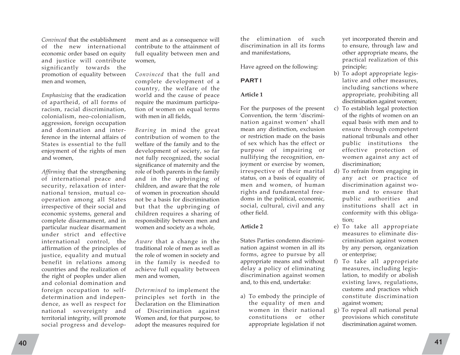*Convinced* that the establishment of the new international economic order based on equity and justice will contribute significantly towards the promotion of equality between men and women,

*Emphasizing* that the eradication of apartheid, of all forms of racism, racial discrimination, colonialism, neo-colonialism, aggression, foreign occupation and domination and interference in the internal affairs of States is essential to the full enjoyment of the rights of men and women,

*Affirming* that the strengthening of international peace and security, relaxation of international tension, mutual cooperation among all States irrespective of their social and economic systems, general and complete disarmament, and in particular nuclear disarmament under strict and effective international control, the affirmation of the principles of justice, equality and mutual benefit in relations among countries and the realization of the right of peoples under alien and colonial domination and foreign occupation to selfdetermination and independence, as well as respect for national sovereignty and territorial integrity, will promote social progress and development and as a consequence will contribute to the attainment of full equality between men and women,

*Convinced* that the full and complete development of a country, the welfare of the world and the cause of peace require the maximum participation of women on equal terms with men in all fields,

*Bearing* in mind the great contribution of women to the welfare of the family and to the development of society, so far not fully recognized, the social significance of maternity and the role of both parents in the family and in the upbringing of children, and aware that the role of women in procreation should not be a basis for discrimination but that the upbringing of children requires a sharing of responsibility between men and women and society as a whole,

*Aware* that a change in the traditional role of men as well as the role of women in society and in the family is needed to achieve full equality between men and women,

*Determined* to implement the principles set forth in the Declaration on the Elimination of Discrimination against Women and, for that purpose, to adopt the measures required for

the elimination of such discrimination in all its forms and manifestations,

Have agreed on the following:

#### **PART I**

#### **Article 1**

For the purposes of the present Convention, the term 'discrimination against women' shall mean any distinction, exclusion or restriction made on the basis of sex which has the effect or purpose of impairing or nullifying the recognition, enjoyment or exercise by women, irrespective of their marital status, on a basis of equality of men and women, of human rights and fundamental freedoms in the political, economic, social, cultural, civil and any other field.

#### **Article 2**

States Parties condemn discrimination against women in all its forms, agree to pursue by all appropriate means and without delay a policy of eliminating discrimination against women and, to this end, undertake:

a) To embody the principle of the equality of men and women in their national constitutions or other appropriate legislation if not yet incorporated therein and to ensure, through law and other appropriate means, the practical realization of this principle;

- b) To adopt appropriate legislative and other measures, including sanctions where appropriate, prohibiting all discrimination against women;
- c) To establish legal protection of the rights of women on an equal basis with men and to ensure through competent national tribunals and other public institutions the effective protection of women against any act of discrimination;
- d) To refrain from engaging in any act or practice of discrimination against women and to ensure that public authorities and institutions shall act in conformity with this obligation;
- e) To take all appropriate measures to eliminate discrimination against women by any person, organization or enterprise;
- f) To take all appropriate measures, including legislation, to modify or abolish existing laws, regulations, customs and practices which constitute discrimination against women;
- g) To repeal all national penal provisions which constitute discrimination against women.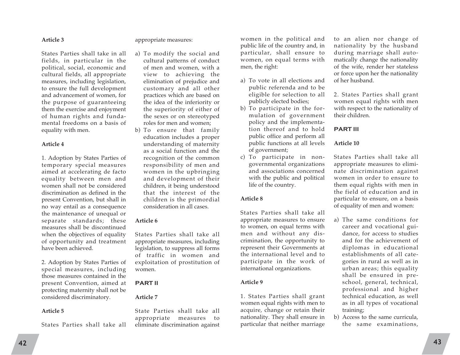#### **Article 3**

States Parties shall take in all fields, in particular in the political, social, economic and cultural fields, all appropriate measures, including legislation, to ensure the full development and advancement of women, for the purpose of guaranteeing them the exercise and enjoyment of human rights and fundamental freedoms on a basis of equality with men.

#### **Article 4**

1. Adoption by States Parties of temporary special measures aimed at accelerating de facto equality between men and women shall not be considered discrimination as defined in the present Convention, but shall in no way entail as a consequence the maintenance of unequal or separate standards; these measures shall be discontinued when the objectives of equality of opportunity and treatment have been achieved.

2. Adoption by States Parties of special measures, including those measures contained in the present Convention, aimed at protecting maternity shall not be considered discriminatory.

#### **Article 5**

States Parties shall take all

#### appropriate measures:

- a) To modify the social and cultural patterns of conduct of men and women, with a view to achieving the elimination of prejudice and customary and all other practices which are based on the idea of the inferiority or the superiority of either of the sexes or on stereotyped roles for men and women;
- b) To ensure that family education includes a proper understanding of maternity as a social function and the recognition of the common responsibility of men and women in the upbringing and development of their children, it being understood that the interest of the children is the primordial consideration in all cases.

#### **Article 6**

States Parties shall take all appropriate measures, including legislation, to suppress all forms of traffic in women and exploitation of prostitution of women.

#### **PART II**

#### **Article 7**

State Parties shall take all appropriate measures to eliminate discrimination against

women in the political and public life of the country and, in particular, shall ensure to women, on equal terms with men, the right:

- a) To vote in all elections and public referenda and to be eligible for selection to all publicly elected bodies;
- b) To participate in the formulation of government policy and the implementation thereof and to hold public office and perform all public functions at all levels of government;
- c) To participate in nongovernmental organizations and associations concerned with the public and political life of the country.

#### **Article 8**

States Parties shall take all appropriate measures to ensure to women, on equal terms with men and without any discrimination, the opportunity to represent their Governments at the international level and to participate in the work of international organizations.

#### **Article 9**

1. States Parties shall grant women equal rights with men to acquire, change or retain their nationality. They shall ensure in particular that neither marriage

to an alien nor change of nationality by the husband during marriage shall automatically change the nationality of the wife, render her stateless or force upon her the nationality of her husband.

2. States Parties shall grant women equal rights with men with respect to the nationality of their children.

#### **PART III**

#### **Article 10**

States Parties shall take all appropriate measures to eliminate discrimination against women in order to ensure to them equal rights with men in the field of education and in particular to ensure, on a basis of equality of men and women:

- a) The same conditions for career and vocational guidance, for access to studies and for the achievement of diplomas in educational establishments of all categories in rural as well as in urban areas; this equality shall be ensured in preschool, general, technical, professional and higher technical education, as well as in all types of vocational training;
- b) Access to the same curricula, the same examinations,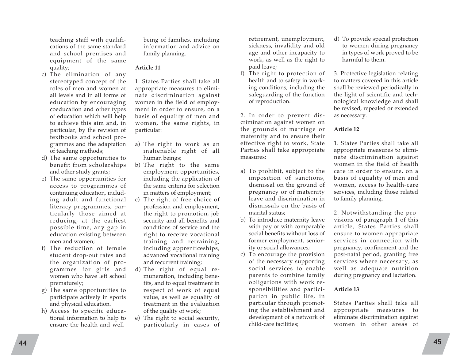teaching staff with qualifications of the same standard and school premises and equipment of the same quality;

- c) The elimination of any stereotyped concept of the roles of men and women at all levels and in all forms of education by encouraging coeducation and other types of education which will help to achieve this aim and, in particular, by the revision of textbooks and school programmes and the adaptation of teaching methods;
- d) The same opportunities to benefit from scholarships and other study grants;
- e) The same opportunities for access to programmes of continuing education, including adult and functional literacy programmes, particularly those aimed at reducing, at the earliest possible time, any gap in education existing between men and women;
- f) The reduction of female student drop-out rates and the organization of programmes for girls and women who have left school prematurely;
- g) The same opportunities to participate actively in sports and physical education.
- h) Access to specific educational information to help to ensure the health and well-

being of families, including information and advice on family planning.

#### **Article 11**

1. States Parties shall take all appropriate measures to eliminate discrimination against women in the field of employment in order to ensure, on a basis of equality of men and women, the same rights, in particular:

- a) The right to work as an inalienable right of all human beings;
- b) The right to the same employment opportunities, including the application of the same criteria for selection in matters of employment;
- c) The right of free choice of profession and employment, the right to promotion, job security and all benefits and conditions of service and the right to receive vocational training and retraining, including apprenticeships, advanced vocational training and recurrent training;
- d) The right of equal remuneration, including benefits, and to equal treatment in respect of work of equal value, as well as equality of treatment in the evaluation of the quality of work;
- e) The right to social security, particularly in cases of

retirement, unemployment, sickness, invalidity and old age and other incapacity to work, as well as the right to paid leave;

- f) The right to protection of health and to safety in working conditions, including the safeguarding of the function of reproduction.
- 2. In order to prevent discrimination against women on the grounds of marriage or maternity and to ensure their effective right to work, State Parties shall take appropriate measures:
- a) To prohibit, subject to the imposition of sanctions, dismissal on the ground of pregnancy or of maternity leave and discrimination in dismissals on the basis of marital status;
- b) To introduce maternity leave with pay or with comparable social benefits without loss of former employment, seniority or social allowances;
- c) To encourage the provision of the necessary supporting social services to enable parents to combine family obligations with work responsibilities and participation in public life, in particular through promoting the establishment and development of a network of child-care facilities;

d) To provide special protection to women during pregnancy in types of work proved to be harmful to them.

3. Protective legislation relating to matters covered in this article shall be reviewed periodically in the light of scientific and technological knowledge and shall be revised, repealed or extended as necessary.

#### **Article 12**

1. States Parties shall take all appropriate measures to eliminate discrimination against women in the field of health care in order to ensure, on a basis of equality of men and women, access to health-care services, including those related to family planning.

2. Notwithstanding the provisions of paragraph 1 of this article, States Parties shall ensure to women appropriate services in connection with pregnancy, confinement and the post-natal period, granting free services where necessary, as well as adequate nutrition during pregnancy and lactation.

#### **Article 13**

States Parties shall take all appropriate measures to eliminate discrimination against women in other areas of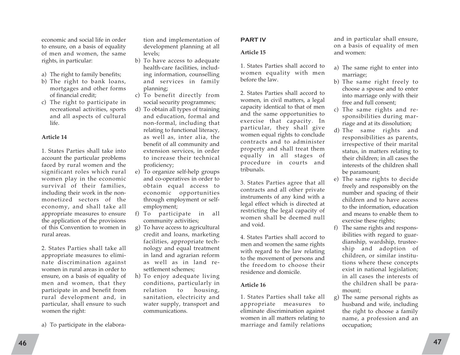economic and social life in order to ensure, on a basis of equality of men and women, the same rights, in particular:

- a) The right to family benefits;
- b) The right to bank loans, mortgages and other forms of financial credit;
- c) The right to participate in recreational activities, sports and all aspects of cultural life.

#### **Article 14**

1. States Parties shall take into account the particular problems faced by rural women and the significant roles which rural women play in the economic survival of their families, including their work in the nonmonetized sectors of the economy, and shall take all appropriate measures to ensure the application of the provisions of this Convention to women in rural areas.

2. States Parties shall take all appropriate measures to eliminate discrimination against women in rural areas in order to ensure, on a basis of equality of men and women, that they participate in and benefit from rural development and, in particular, shall ensure to such women the right:

a) To participate in the elabora-

tion and implementation of development planning at all levels;

- b) To have access to adequate health-care facilities, including information, counselling and services in family planning;
- c) To benefit directly from social security programmes;
- d) To obtain all types of training and education, formal and non-formal, including that relating to functional literacy, as well as, inter alia, the benefit of all community and extension services, in order to increase their technical proficiency;
- e) To organize self-help groups and co-operatives in order to obtain equal access to economic opportunities through employment or selfemployment;
- f) To participate in all community activities;
- g) To have access to agricultural credit and loans, marketing facilities, appropriate technology and equal treatment in land and agrarian reform as well as in land resettlement schemes;
- h) To enjoy adequate living conditions, particularly in relation to housing, sanitation, electricity and water supply, transport and communications.

#### **PART IV**

#### **Article 15**

1. States Parties shall accord to women equality with men before the law.

2. States Parties shall accord to women, in civil matters, a legal capacity identical to that of men and the same opportunities to exercise that capacity. In particular, they shall give women equal rights to conclude contracts and to administer property and shall treat them equally in all stages of procedure in courts and tribunals.

3. States Parties agree that all contracts and all other private instruments of any kind with a legal effect which is directed at restricting the legal capacity of women shall be deemed null and void.

4. States Parties shall accord to men and women the same rights with regard to the law relating to the movement of persons and the freedom to choose their residence and domicile.

#### **Article 16**

1. States Parties shall take all appropriate measures to eliminate discrimination against women in all matters relating to marriage and family relations

and in particular shall ensure, on a basis of equality of men and women:

- a) The same right to enter into marriage;
- b) The same right freely to choose a spouse and to enter into marriage only with their free and full consent;
- c) The same rights and responsibilities during marriage and at its dissolution;
- d) The same rights and responsibilities as parents, irrespective of their marital status, in matters relating to their children; in all cases the interests of the children shall be paramount;
- e) The same rights to decide freely and responsibly on the number and spacing of their children and to have access to the information, education and means to enable them to exercise these rights;
- f) The same rights and responsibilities with regard to guardianship, wardship, trusteeship and adoption of children, or similar institutions where these concepts exist in national legislation; in all cases the interests of the children shall be paramount;
- g) The same personal rights as husband and wife, including the right to choose a family name, a profession and an occupation;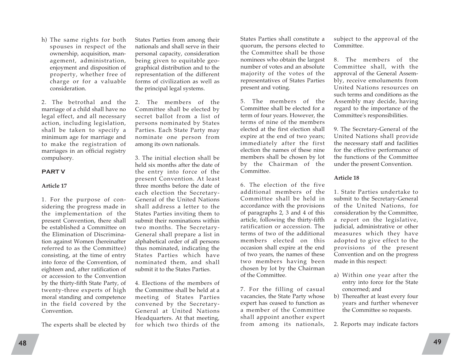h) The same rights for both spouses in respect of the ownership, acquisition, management, administration, enjoyment and disposition of property, whether free of charge or for a valuable consideration.

2. The betrothal and the marriage of a child shall have no legal effect, and all necessary action, including legislation, shall be taken to specify a minimum age for marriage and to make the registration of marriages in an official registry compulsory.

#### **PART V**

#### **Article 17**

1. For the purpose of considering the progress made in the implementation of the present Convention, there shall be established a Committee on the Elimination of Discrimination against Women (hereinafter referred to as the Committee) consisting, at the time of entry into force of the Convention, of eighteen and, after ratification of or accession to the Convention by the thirty-fifth State Party, of twenty-three experts of high moral standing and competence in the field covered by the Convention.

The experts shall be elected by

States Parties from among their nationals and shall serve in their personal capacity, consideration being given to equitable geographical distribution and to the representation of the different forms of civilization as well as the principal legal systems.

2. The members of the Committee shall be elected by secret ballot from a list of persons nominated by States Parties. Each State Party may nominate one person from among its own nationals.

3. The initial election shall be held six months after the date of the entry into force of the present Convention. At least three months before the date of each election the Secretary-General of the United Nations shall address a letter to the States Parties inviting them to submit their nominations within two months. The Secretary-General shall prepare a list in alphabetical order of all persons thus nominated, indicating the States Parties which have nominated them, and shall submit it to the States Parties.

4. Elections of the members of the Committee shall be held at a meeting of States Parties convened by the Secretary-General at United Nations Headquarters. At that meeting, for which two thirds of the States Parties shall constitute a quorum, the persons elected to the Committee shall be those nominees who obtain the largest number of votes and an absolute majority of the votes of the representatives of States Parties present and voting.

5. The members of the Committee shall be elected for a term of four years. However, the terms of nine of the members elected at the first election shall expire at the end of two years; immediately after the first election the names of these nine members shall be chosen by lot by the Chairman of the Committee.

6. The election of the five additional members of the Committee shall be held in accordance with the provisions of paragraphs 2, 3 and 4 of this article, following the thirty-fifth ratification or accession. The terms of two of the additional members elected on this occasion shall expire at the end of two years, the names of these two members having been chosen by lot by the Chairman of the Committee.

7. For the filling of casual vacancies, the State Party whose expert has ceased to function as a member of the Committee shall appoint another expert from among its nationals, subject to the approval of the Committee.

8. The members of the Committee shall, with the approval of the General Assembly, receive emoluments from United Nations resources on such terms and conditions as the Assembly may decide, having regard to the importance of the Committee's responsibilities.

9. The Secretary-General of the United Nations shall provide the necessary staff and facilities for the effective performance of the functions of the Committee under the present Convention.

#### **Article 18**

1. State Parties undertake to submit to the Secretary-General of the United Nations, for consideration by the Committee, a report on the legislative, judicial, administrative or other measures which they have adopted to give effect to the provisions of the present Convention and on the progress made in this respect:

- a) Within one year after the entry into force for the State concerned; and
- b) Thereafter at least every four years and further whenever the Committee so requests.
- 2. Reports may indicate factors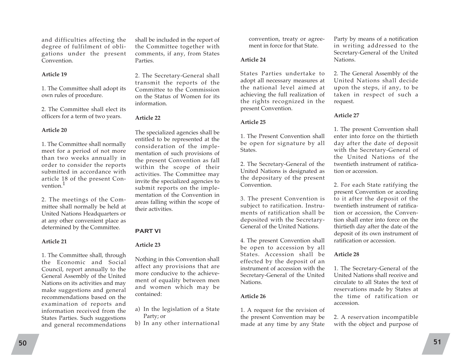and difficulties affecting the degree of fulfilment of obligations under the present Convention.

#### **Article 19**

1. The Committee shall adopt its own rules of procedure.

2. The Committee shall elect its officers for a term of two years.

#### **Article 20**

1. The Committee shall normally meet for a period of not more than two weeks annually in order to consider the reports submitted in accordance with article 18 of the present Convention.<sup>1</sup>

2. The meetings of the Committee shall normally be held at United Nations Headquarters or at any other convenient place as determined by the Committee.

#### **Article 21**

1. The Committee shall, through the Economic and Social Council, report annually to the General Assembly of the United Nations on its activities and may make suggestions and general recommendations based on the examination of reports and information received from the States Parties. Such suggestions and general recommendations

shall be included in the report of the Committee together with comments, if any, from States Parties.

2. The Secretary-General shall transmit the reports of the Committee to the Commission on the Status of Women for its information.

**Article 22** 

The specialized agencies shall be entitled to be represented at the consideration of the implementation of such provisions of the present Convention as fall within the scope of their activities. The Committee may invite the specialized agencies to submit reports on the implementation of the Convention in areas falling within the scope of their activities.

#### **PART VI**

#### **Article 23**

Nothing in this Convention shall affect any provisions that are more conducive to the achievement of equality between men and women which may be contained:

- a) In the legislation of a State Party; or
- b) In any other international

convention, treaty or agreement in force for that State.

#### **Article 24**

States Parties undertake to adopt all necessary measures at the national level aimed at achieving the full realization of the rights recognized in the present Convention.

#### **Article 25**

1. The Present Convention shall be open for signature by all States.

2. The Secretary-General of the United Nations is designated as the depositary of the present Convention.

3. The present Convention is subject to ratification. Instruments of ratification shall be deposited with the Secretary-General of the United Nations.

4. The present Convention shall be open to accession by all States. Accession shall be effected by the deposit of an instrument of accession with the Secretary-General of the United Nations.

#### **Article 26**

1. A request for the revision of the present Convention may be made at any time by any State

Party by means of a notification in writing addressed to the Secretary-General of the United Nations.

2. The General Assembly of the United Nations shall decide upon the steps, if any, to be taken in respect of such a request.

#### **Article 27**

1. The present Convention shall enter into force on the thirtieth day after the date of deposit with the Secretary-General of the United Nations of the twentieth instrument of ratification or accession.

2. For each State ratifying the present Convention or acceding to it after the deposit of the twentieth instrument of ratification or accession, the Convention shall enter into force on the thirtieth day after the date of the deposit of its own instrument of ratification or accession.

#### **Article 28**

1. The Secretary-General of the United Nations shall receive and circulate to all States the text of reservations made by States at the time of ratification or accession.

2. A reservation incompatible with the object and purpose of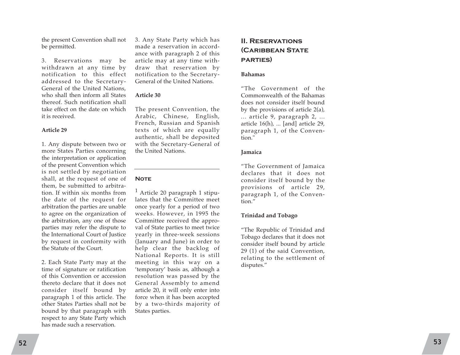the present Convention shall not be permitted.

3. Reservations may be withdrawn at any time by notification to this effect addressed to the Secretary-General of the United Nations, who shall then inform all States thereof. Such notification shall take effect on the date on which it is received.

#### **Article 29**

1. Any dispute between two or more States Parties concerning the interpretation or application of the present Convention which is not settled by negotiation shall, at the request of one of them, be submitted to arbitration. If within six months from the date of the request for arbitration the parties are unable to agree on the organization of the arbitration, any one of those parties may refer the dispute to the International Court of Justice by request in conformity with the Statute of the Court.

2. Each State Party may at the time of signature or ratification of this Convention or accession thereto declare that it does not consider itself bound by paragraph 1 of this article. The other States Parties shall not be bound by that paragraph with respect to any State Party which has made such a reservation.

3. Any State Party which has made a reservation in accordance with paragraph 2 of this article may at any time withdraw that reservation by notification to the Secretary-General of the United Nations.

#### **Article 30**

The present Convention, the Arabic, Chinese, English, French, Russian and Spanish texts of which are equally authentic, shall be deposited with the Secretary-General of the United Nations.

#### **NOTE**

 $<sup>1</sup>$  Article 20 paragraph 1 stipu-</sup> lates that the Committee meet once yearly for a period of two weeks. However, in 1995 the Committee received the approval of State parties to meet twice yearly in three-week sessions (January and June) in order to help clear the backlog of National Reports. It is still meeting in this way on a 'temporary' basis as, although a resolution was passed by the General Assembly to amend article 20, it will only enter into force when it has been accepted by a two-thirds majority of States parties.

# **II. Reservations (Caribbean State parties)**

#### **Bahamas**

"The Government of the Commonwealth of the Bahamas does not consider itself bound by the provisions of article 2(a), ... article 9, paragraph 2, ... article 16(h), ... [and] article 29, paragraph 1, of the Convention."

#### **Jamaica**

"The Government of Jamaica declares that it does not consider itself bound by the provisions of article 29, paragraph 1, of the Convention."

#### **Trinidad and Tobago**

"The Republic of Trinidad and Tobago declares that it does not consider itself bound by article 29 (1) of the said Convention, relating to the settlement of disputes."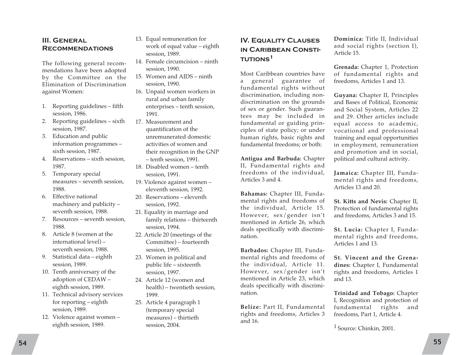## **III. General Recommendations**

The following general recommendations have been adopted by the Committee on the Elimination of Discrimination against Women:

- 1. Reporting guidelines fifth session, 1986.
- 2. Reporting guidelines sixth session, 1987.
- 3. Education and public information programmes – sixth session, 1987.
- 4. Reservations sixth session, 1987.
- 5. Temporary special measures – seventh session, 1988.
- 6. Effective national machinery and publicity – seventh session, 1988.
- 7. Resources seventh session, 1988.
- 8. Article 8 (women at the international level) – seventh session, 1988.
- 9. Statistical data eighth session, 1989.
- 10. Tenth anniversary of the adoption of CEDAW – eighth session, 1989.
- 11. Technical advisory services for reporting – eighth session, 1989.
- 12. Violence against women eighth session, 1989.
- 13. Equal remuneration for work of equal value – eighth session, 1989.
- 14. Female circumcision ninth session, 1990.
- 15. Women and AIDS ninth session, 1990.
- 16. Unpaid women workers in rural and urban family enterprises – tenth session, 1991.
- 17. Measurement and quantification of the unremunerated domestic activities of women and their recognition in the GNP – tenth session, 1991.
- 18. Disabled women tenth session, 1991.
- 19. Violence against women eleventh session, 1992.
- 20. Reservations eleventh session, 1992.
- 21. Equality in marriage and family relations – thirteenth session, 1994.
- 22. Article 20 (meetings of the Committee) – fourteenth session, 1995.
- 23. Women in political and public life – sixteenth session, 1997.
- 24. Article 12 (women and health) – twentieth session, 1999.
- 25. Article 4 paragraph 1 (temporary special measures) – thirtieth session, 2004.

# **IV. Equality Clauses in Caribbean Consti-TUTIONS**<sup>1</sup>

Most Caribbean countries have a general guarantee of fundamental rights without discrimination, including nondiscrimination on the grounds of sex or gender. Such guarantees may be included in fundamental or guiding principles of state policy; or under human rights, basic rights and fundamental freedoms; or both:

**Antigua and Barbuda:** Chapter II, Fundamental rights and freedoms of the individual, Articles 3 and 4.

**Bahamas:** Chapter III, Fundamental rights and freedoms of the individual, Article 15. However, sex/gender isn't mentioned in Article 26, which deals specifically with discrimination.

**Barbados:** Chapter III, Fundamental rights and freedoms of the individual, Article 11. However, sex/gender isn't mentioned in Article 23, which deals specifically with discrimination.

**Belize:** Part II, Fundamental rights and freedoms, Articles 3 and 16.

**Dominica:** Title II, Individual and social rights (section I), Article 15.

**Grenada:** Chapter 1, Protection of fundamental rights and freedoms, Articles 1 and 13.

**Guyana:** Chapter II, Principles and Bases of Political, Economic and Social System, Articles 22 and 29. Other articles include equal access to academic, vocational and professional training and equal opportunities in employment, remuneration and promotion and in social, political and cultural activity.

**Jamaica:** Chapter III, Fundamental rights and freedoms, Articles 13 and 20.

**St. Kitts and Nevis:** Chapter II, Protection of fundamental rights and freedoms, Articles 3 and 15.

**St. Lucia:** Chapter I, Fundamental rights and freedoms, Articles 1 and 13.

**St. Vincent and the Grenadines:** Chapter I, Fundamental rights and freedoms, Articles 1 and 13.

**Trinidad and Tobago:** Chapter I, Recognition and protection of fundamental rights and freedoms, Part 1, Article 4.

1 Source: Chinkin, 2001.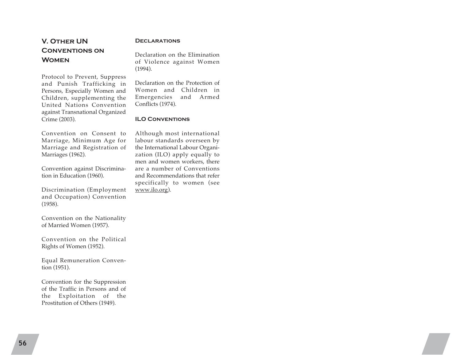# **V. Other UN Conventions on Women**

Protocol to Prevent, Suppress and Punish Trafficking in Persons, Especially Women and Children, supplementing the United Nations Convention against Transnational Organized Crime (2003).

Convention on Consent to Marriage, Minimum Age for Marriage and Registration of Marriages (1962).

Convention against Discrimination in Education (1960).

Discrimination (Employment and Occupation) Convention (1958).

Convention on the Nationality of Married Women (1957).

Convention on the Political Rights of Women (1952).

Equal Remuneration Convention (1951).

Convention for the Suppression of the Traffic in Persons and of the Exploitation of the Prostitution of Others (1949).

#### **Declarations**

Declaration on the Elimination of Violence against Women (1994).

Declaration on the Protection of Women and Children in Emergencies and Armed Conflicts (1974).

#### **ILO Conventions**

Although most international labour standards overseen by the International Labour Organization (ILO) apply equally to men and women workers, there are a number of Conventions and Recommendations that refer specifically to women (see www.ilo.org).